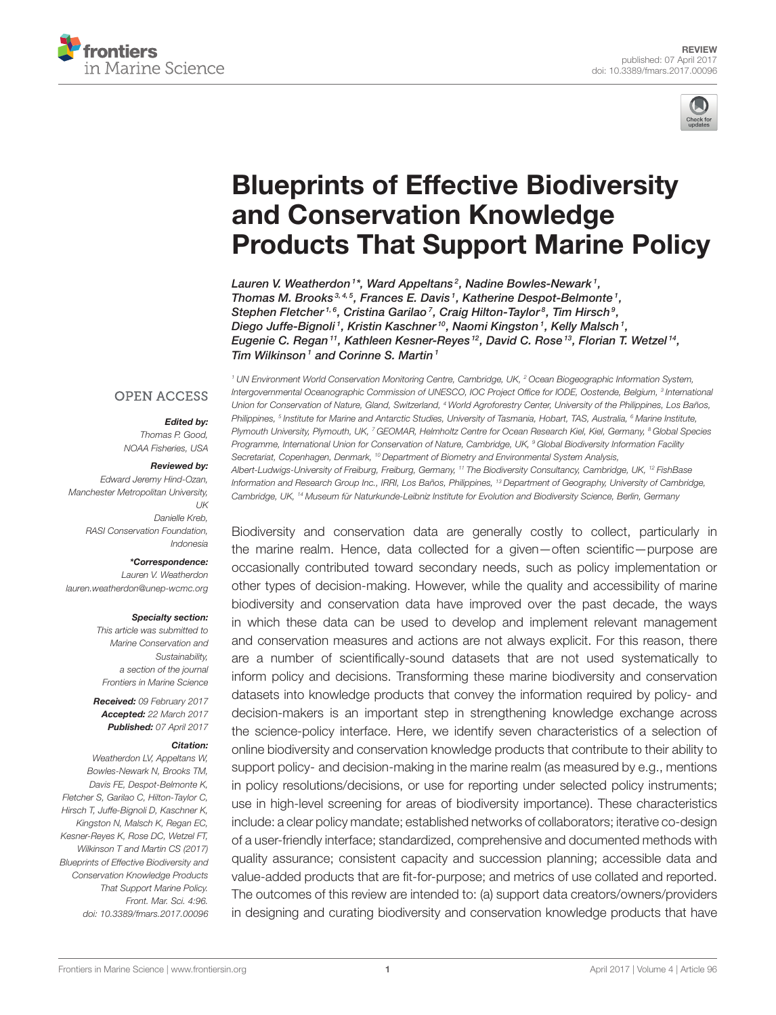



# Blueprints of Effective Biodiversity and Conservation Knowledge [Products That Support Marine Policy](http://journal.frontiersin.org/article/10.3389/fmars.2017.00096/abstract)

[Lauren V. Weatherdon](http://loop.frontiersin.org/people/294185/overview)<sup>1\*</sup>, Ward Appeltans<sup>2</sup>, Nadine Bowles-Newark<sup>1</sup>, Thomas M. Brooks<sup>3,4,5</sup>, Frances E. Davis<sup>1</sup>, Katherine Despot-Belmonte<sup>1</sup>, Stephen Fletcher<sup>1,6</sup>, Cristina Garilao<sup>7</sup>, Craig Hilton-Taylor<sup>8</sup>, Tim Hirsch<sup>9</sup>, Diego Juffe-Bignoli1, Kristin Kaschner<sup>10</sup>, Naomi Kingston1, Kelly Malsch1, Eugenie C. Regan $^{11}$ , [Kathleen Kesner-Reyes](http://loop.frontiersin.org/people/421957/overview) $^{12}$ , David C. Rose $^{13}$ , Florian T. Wetzel $^{14}$ , Tim Wilkinson<sup>1</sup> and Corinne S. Martin<sup>1</sup>

#### **OPEN ACCESS**

#### Edited by:

Thomas P. Good, NOAA Fisheries, USA

#### Reviewed by:

Edward Jeremy Hind-Ozan, Manchester Metropolitan University,  $11K$ Danielle Kreb, RASI Conservation Foundation, Indonesia

\*Correspondence:

Lauren V. Weatherdon [lauren.weatherdon@unep-wcmc.org](mailto:lauren.weatherdon@unep-wcmc.org)

#### Specialty section:

This article was submitted to Marine Conservation and Sustainability, a section of the journal Frontiers in Marine Science

Received: 09 February 2017 Accepted: 22 March 2017 Published: 07 April 2017

#### Citation:

Weatherdon LV, Appeltans W, Bowles-Newark N, Brooks TM, Davis FE, Despot-Belmonte K, Fletcher S, Garilao C, Hilton-Taylor C, Hirsch T, Juffe-Bignoli D, Kaschner K, Kingston N, Malsch K, Regan EC, Kesner-Reyes K, Rose DC, Wetzel FT, Wilkinson T and Martin CS (2017) Blueprints of Effective Biodiversity and Conservation Knowledge Products That Support Marine Policy. Front. Mar. Sci. 4:96. doi: [10.3389/fmars.2017.00096](https://doi.org/10.3389/fmars.2017.00096)

<sup>1</sup> UN Environment World Conservation Monitoring Centre, Cambridge, UK, <sup>2</sup> Ocean Biogeographic Information System, Intergovernmental Oceanographic Commission of UNESCO, IOC Project Office for IODE, Oostende, Belgium, <sup>3</sup> Internationa Union for Conservation of Nature, Gland, Switzerland, <sup>4</sup> World Agroforestry Center, University of the Philippines, Los Baños, Philippines, <sup>s</sup> Institute for Marine and Antarctic Studies, University of Tasmania, Hobart, TAS, Australia, <sup>s</sup> Marine Institute, Plymouth University, Plymouth, UK, 7 GEOMAR, Helmholtz Centre for Ocean Research Kiel, Kiel, Germany, <sup>8</sup> Global Species Programme, International Union for Conservation of Nature, Cambridge, UK, <sup>9</sup> Global Biodiversity Information Facility Secretariat, Copenhagen, Denmark, <sup>10</sup> Department of Biometry and Environmental System Analysis, Albert-Ludwigs-University of Freiburg, Freiburg, Germany, <sup>11</sup> The Biodiversity Consultancy, Cambridge, UK, <sup>12</sup> FishBase Information and Research Group Inc., IRRI, Los Baños, Philippines, <sup>13</sup> Department of Geography, University of Cambridge, Cambridge, UK, <sup>14</sup> Museum für Naturkunde-Leibniz Institute for Evolution and Biodiversity Science, Berlin, Germany

Biodiversity and conservation data are generally costly to collect, particularly in the marine realm. Hence, data collected for a given—often scientific—purpose are occasionally contributed toward secondary needs, such as policy implementation or other types of decision-making. However, while the quality and accessibility of marine biodiversity and conservation data have improved over the past decade, the ways in which these data can be used to develop and implement relevant management and conservation measures and actions are not always explicit. For this reason, there are a number of scientifically-sound datasets that are not used systematically to inform policy and decisions. Transforming these marine biodiversity and conservation datasets into knowledge products that convey the information required by policy- and decision-makers is an important step in strengthening knowledge exchange across the science-policy interface. Here, we identify seven characteristics of a selection of online biodiversity and conservation knowledge products that contribute to their ability to support policy- and decision-making in the marine realm (as measured by e.g., mentions in policy resolutions/decisions, or use for reporting under selected policy instruments; use in high-level screening for areas of biodiversity importance). These characteristics include: a clear policy mandate; established networks of collaborators; iterative co-design of a user-friendly interface; standardized, comprehensive and documented methods with quality assurance; consistent capacity and succession planning; accessible data and value-added products that are fit-for-purpose; and metrics of use collated and reported. The outcomes of this review are intended to: (a) support data creators/owners/providers in designing and curating biodiversity and conservation knowledge products that have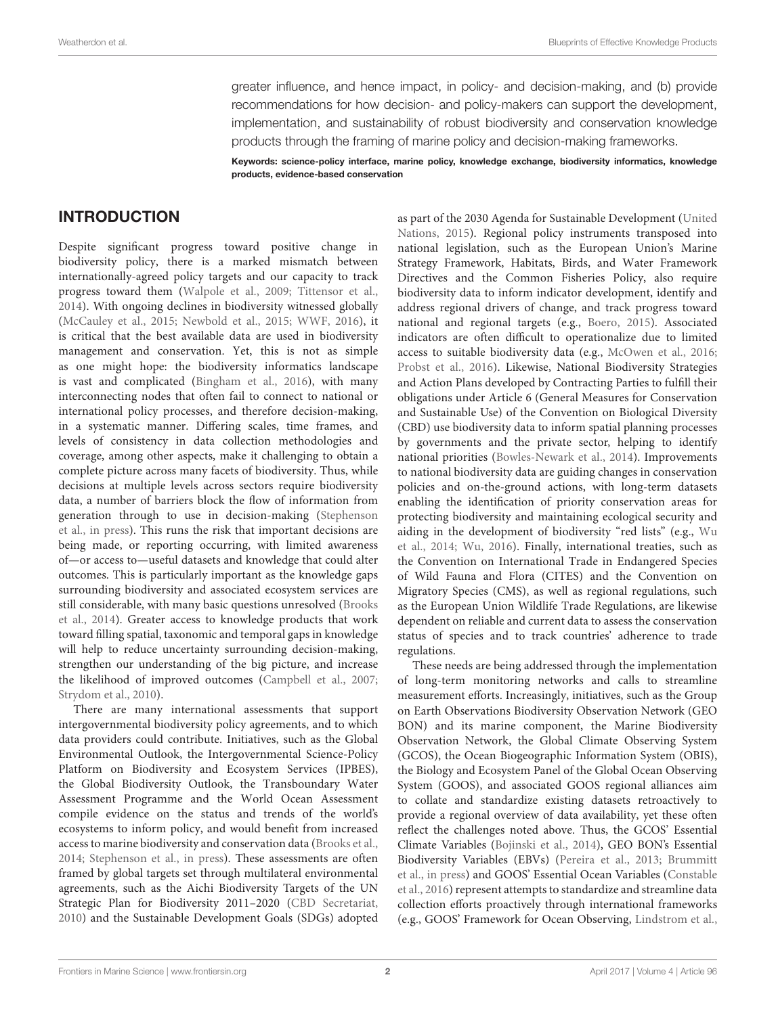greater influence, and hence impact, in policy- and decision-making, and (b) provide recommendations for how decision- and policy-makers can support the development, implementation, and sustainability of robust biodiversity and conservation knowledge products through the framing of marine policy and decision-making frameworks.

Keywords: science-policy interface, marine policy, knowledge exchange, biodiversity informatics, knowledge products, evidence-based conservation

#### INTRODUCTION

Despite significant progress toward positive change in biodiversity policy, there is a marked mismatch between internationally-agreed policy targets and our capacity to track progress toward them [\(Walpole et al., 2009;](#page-14-0) [Tittensor et al.,](#page-14-1) [2014\)](#page-14-1). With ongoing declines in biodiversity witnessed globally [\(McCauley et al., 2015;](#page-13-0) [Newbold et al., 2015;](#page-13-1) [WWF, 2016\)](#page-15-0), it is critical that the best available data are used in biodiversity management and conservation. Yet, this is not as simple as one might hope: the biodiversity informatics landscape is vast and complicated [\(Bingham et al., 2016\)](#page-12-0), with many interconnecting nodes that often fail to connect to national or international policy processes, and therefore decision-making, in a systematic manner. Differing scales, time frames, and levels of consistency in data collection methodologies and coverage, among other aspects, make it challenging to obtain a complete picture across many facets of biodiversity. Thus, while decisions at multiple levels across sectors require biodiversity data, a number of barriers block the flow of information from generation through to use in decision-making (Stephenson et al., [in press\)](#page-14-2). This runs the risk that important decisions are being made, or reporting occurring, with limited awareness of—or access to—useful datasets and knowledge that could alter outcomes. This is particularly important as the knowledge gaps surrounding biodiversity and associated ecosystem services are still considerable, with many basic questions unresolved (Brooks et al., [2014\)](#page-12-1). Greater access to knowledge products that work toward filling spatial, taxonomic and temporal gaps in knowledge will help to reduce uncertainty surrounding decision-making, strengthen our understanding of the big picture, and increase the likelihood of improved outcomes [\(Campbell et al., 2007;](#page-12-2) [Strydom et al., 2010\)](#page-14-3).

There are many international assessments that support intergovernmental biodiversity policy agreements, and to which data providers could contribute. Initiatives, such as the Global Environmental Outlook, the Intergovernmental Science-Policy Platform on Biodiversity and Ecosystem Services (IPBES), the Global Biodiversity Outlook, the Transboundary Water Assessment Programme and the World Ocean Assessment compile evidence on the status and trends of the world's ecosystems to inform policy, and would benefit from increased access to marine biodiversity and conservation data [\(Brooks et al.,](#page-12-1) [2014;](#page-12-1) [Stephenson et al., in press\)](#page-14-2). These assessments are often framed by global targets set through multilateral environmental agreements, such as the Aichi Biodiversity Targets of the UN Strategic Plan for Biodiversity 2011–2020 [\(CBD Secretariat,](#page-12-3) [2010\)](#page-12-3) and the Sustainable Development Goals (SDGs) adopted as part of the 2030 Agenda for Sustainable Development (United Nations, [2015\)](#page-14-4). Regional policy instruments transposed into national legislation, such as the European Union's Marine Strategy Framework, Habitats, Birds, and Water Framework Directives and the Common Fisheries Policy, also require biodiversity data to inform indicator development, identify and address regional drivers of change, and track progress toward national and regional targets (e.g., [Boero, 2015\)](#page-12-4). Associated indicators are often difficult to operationalize due to limited access to suitable biodiversity data (e.g., [McOwen et al., 2016;](#page-13-2) [Probst et al., 2016\)](#page-14-5). Likewise, National Biodiversity Strategies and Action Plans developed by Contracting Parties to fulfill their obligations under Article 6 (General Measures for Conservation and Sustainable Use) of the Convention on Biological Diversity (CBD) use biodiversity data to inform spatial planning processes by governments and the private sector, helping to identify national priorities [\(Bowles-Newark et al., 2014\)](#page-12-5). Improvements to national biodiversity data are guiding changes in conservation policies and on-the-ground actions, with long-term datasets enabling the identification of priority conservation areas for protecting biodiversity and maintaining ecological security and aiding in the development of biodiversity "red lists" (e.g., Wu et al., [2014;](#page-15-1) [Wu, 2016\)](#page-15-2). Finally, international treaties, such as the Convention on International Trade in Endangered Species of Wild Fauna and Flora (CITES) and the Convention on Migratory Species (CMS), as well as regional regulations, such as the European Union Wildlife Trade Regulations, are likewise dependent on reliable and current data to assess the conservation status of species and to track countries' adherence to trade regulations.

These needs are being addressed through the implementation of long-term monitoring networks and calls to streamline measurement efforts. Increasingly, initiatives, such as the Group on Earth Observations Biodiversity Observation Network (GEO BON) and its marine component, the Marine Biodiversity Observation Network, the Global Climate Observing System (GCOS), the Ocean Biogeographic Information System (OBIS), the Biology and Ecosystem Panel of the Global Ocean Observing System (GOOS), and associated GOOS regional alliances aim to collate and standardize existing datasets retroactively to provide a regional overview of data availability, yet these often reflect the challenges noted above. Thus, the GCOS' Essential Climate Variables [\(Bojinski et al., 2014\)](#page-12-6), GEO BON's Essential Biodiversity Variables (EBVs) [\(Pereira et al., 2013;](#page-14-6) Brummitt et al., [in press\)](#page-12-7) and GOOS' Essential Ocean Variables (Constable et al., [2016\)](#page-12-8) represent attempts to standardize and streamline data collection efforts proactively through international frameworks (e.g., GOOS' Framework for Ocean Observing, [Lindstrom et al.,](#page-13-3)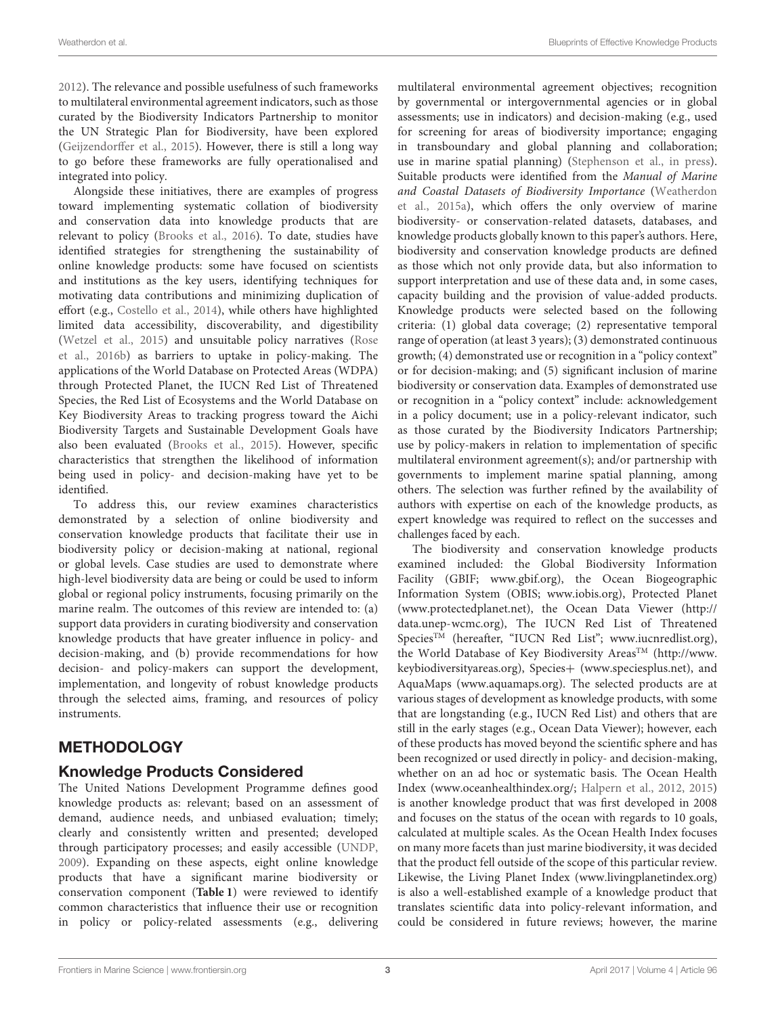[2012\)](#page-13-3). The relevance and possible usefulness of such frameworks to multilateral environmental agreement indicators, such as those curated by the Biodiversity Indicators Partnership to monitor the UN Strategic Plan for Biodiversity, have been explored [\(Geijzendorffer et al., 2015\)](#page-13-4). However, there is still a long way to go before these frameworks are fully operationalised and integrated into policy.

Alongside these initiatives, there are examples of progress toward implementing systematic collation of biodiversity and conservation data into knowledge products that are relevant to policy [\(Brooks et al., 2016\)](#page-12-9). To date, studies have identified strategies for strengthening the sustainability of online knowledge products: some have focused on scientists and institutions as the key users, identifying techniques for motivating data contributions and minimizing duplication of effort (e.g., [Costello et al., 2014\)](#page-12-10), while others have highlighted limited data accessibility, discoverability, and digestibility [\(Wetzel et al., 2015\)](#page-14-7) and unsuitable policy narratives (Rose et al., [2016b\)](#page-14-8) as barriers to uptake in policy-making. The applications of the World Database on Protected Areas (WDPA) through Protected Planet, the IUCN Red List of Threatened Species, the Red List of Ecosystems and the World Database on Key Biodiversity Areas to tracking progress toward the Aichi Biodiversity Targets and Sustainable Development Goals have also been evaluated [\(Brooks et al., 2015\)](#page-12-11). However, specific characteristics that strengthen the likelihood of information being used in policy- and decision-making have yet to be identified.

To address this, our review examines characteristics demonstrated by a selection of online biodiversity and conservation knowledge products that facilitate their use in biodiversity policy or decision-making at national, regional or global levels. Case studies are used to demonstrate where high-level biodiversity data are being or could be used to inform global or regional policy instruments, focusing primarily on the marine realm. The outcomes of this review are intended to: (a) support data providers in curating biodiversity and conservation knowledge products that have greater influence in policy- and decision-making, and (b) provide recommendations for how decision- and policy-makers can support the development, implementation, and longevity of robust knowledge products through the selected aims, framing, and resources of policy instruments.

### **METHODOLOGY**

### Knowledge Products Considered

The United Nations Development Programme defines good knowledge products as: relevant; based on an assessment of demand, audience needs, and unbiased evaluation; timely; clearly and consistently written and presented; developed through participatory processes; and easily accessible [\(UNDP,](#page-14-9) [2009\)](#page-14-9). Expanding on these aspects, eight online knowledge products that have a significant marine biodiversity or conservation component (**[Table 1](#page-3-0)**) were reviewed to identify common characteristics that influence their use or recognition in policy or policy-related assessments (e.g., delivering multilateral environmental agreement objectives; recognition by governmental or intergovernmental agencies or in global assessments; use in indicators) and decision-making (e.g., used for screening for areas of biodiversity importance; engaging in transboundary and global planning and collaboration; use in marine spatial planning) [\(Stephenson et al., in press\)](#page-14-2). Suitable products were identified from the Manual of Marine and Coastal Datasets of Biodiversity Importance (Weatherdon et al., [2015a\)](#page-14-10), which offers the only overview of marine biodiversity- or conservation-related datasets, databases, and knowledge products globally known to this paper's authors. Here, biodiversity and conservation knowledge products are defined as those which not only provide data, but also information to support interpretation and use of these data and, in some cases, capacity building and the provision of value-added products. Knowledge products were selected based on the following criteria: (1) global data coverage; (2) representative temporal range of operation (at least 3 years); (3) demonstrated continuous growth; (4) demonstrated use or recognition in a "policy context" or for decision-making; and (5) significant inclusion of marine biodiversity or conservation data. Examples of demonstrated use or recognition in a "policy context" include: acknowledgement in a policy document; use in a policy-relevant indicator, such as those curated by the Biodiversity Indicators Partnership; use by policy-makers in relation to implementation of specific multilateral environment agreement(s); and/or partnership with governments to implement marine spatial planning, among others. The selection was further refined by the availability of authors with expertise on each of the knowledge products, as expert knowledge was required to reflect on the successes and challenges faced by each.

The biodiversity and conservation knowledge products examined included: the Global Biodiversity Information Facility (GBIF; [www.gbif.org\)](www.gbif.org), the Ocean Biogeographic Information System (OBIS; [www.iobis.org\)](www.iobis.org), Protected Planet [\(www.protectedplanet.net\)](www.protectedplanet.net), the Ocean Data Viewer [\(http://](http://data.unep-wcmc.org) [data.unep-wcmc.org\)](http://data.unep-wcmc.org), The IUCN Red List of Threatened Species<sup>TM</sup> (hereafter, "IUCN Red List"; [www.iucnredlist.org\)](www.iucnredlist.org), the World Database of Key Biodiversity Areas<sup>TM</sup> [\(http://www.](http://www.keybiodiversityareas.org) [keybiodiversityareas.org\)](http://www.keybiodiversityareas.org), Species+ [\(www.speciesplus.net\)](www.speciesplus.net), and AquaMaps [\(www.aquamaps.org\)](www.aquamaps.org). The selected products are at various stages of development as knowledge products, with some that are longstanding (e.g., IUCN Red List) and others that are still in the early stages (e.g., Ocean Data Viewer); however, each of these products has moved beyond the scientific sphere and has been recognized or used directly in policy- and decision-making, whether on an ad hoc or systematic basis. The Ocean Health Index [\(www.oceanhealthindex.org/;](www.oceanhealthindex.org/) [Halpern et al., 2012,](#page-13-5) [2015\)](#page-13-6) is another knowledge product that was first developed in 2008 and focuses on the status of the ocean with regards to 10 goals, calculated at multiple scales. As the Ocean Health Index focuses on many more facets than just marine biodiversity, it was decided that the product fell outside of the scope of this particular review. Likewise, the Living Planet Index [\(www.livingplanetindex.org\)](www.livingplanetindex.org) is also a well-established example of a knowledge product that translates scientific data into policy-relevant information, and could be considered in future reviews; however, the marine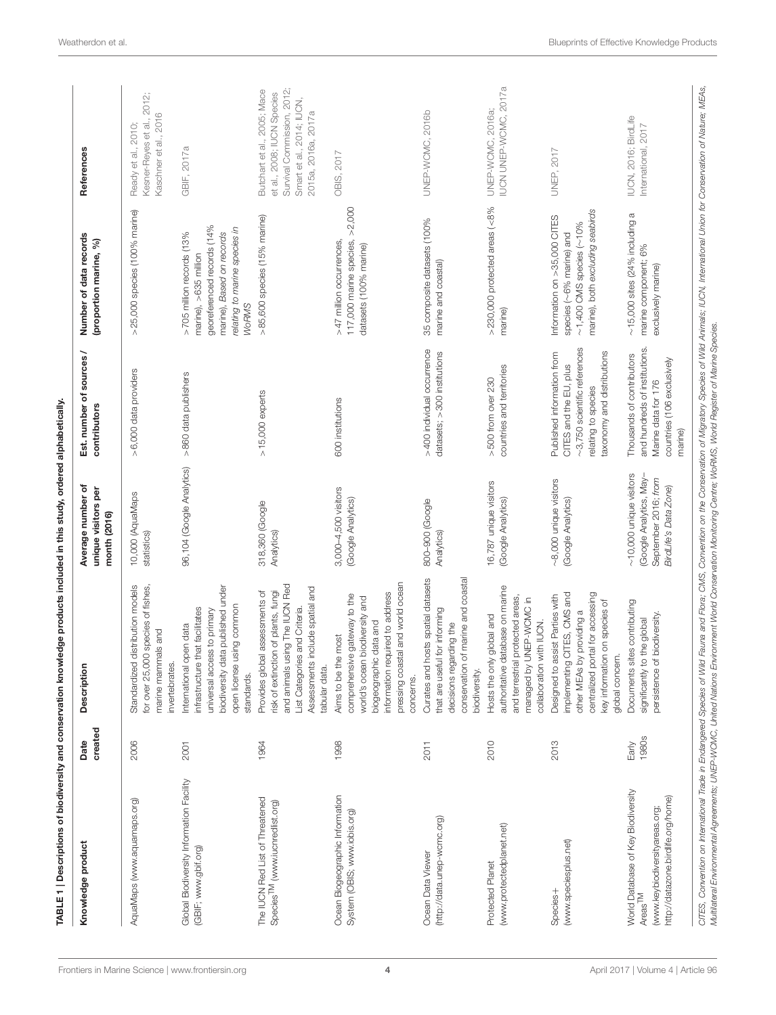<span id="page-3-0"></span>

| Knowledge product                                                                                                                                                                                                                                                                                                                                                                            | created<br>Date       | Description                                                                                                                                                                                         | Average number of<br>unique visitors per<br>month (2016)                                                  | Est. number of sources /<br>contributors                                                                                                        | Number of data records<br>(proportion marine, %)                                                                                                               | References                                                                                                                                  |
|----------------------------------------------------------------------------------------------------------------------------------------------------------------------------------------------------------------------------------------------------------------------------------------------------------------------------------------------------------------------------------------------|-----------------------|-----------------------------------------------------------------------------------------------------------------------------------------------------------------------------------------------------|-----------------------------------------------------------------------------------------------------------|-------------------------------------------------------------------------------------------------------------------------------------------------|----------------------------------------------------------------------------------------------------------------------------------------------------------------|---------------------------------------------------------------------------------------------------------------------------------------------|
| AquaMaps (www.aquamaps.org)                                                                                                                                                                                                                                                                                                                                                                  | 2006                  | Standardized distribution models<br>for over 25,000 species of fishes<br>marine mammals and<br>invertebrates                                                                                        | 10,000 (AquaMaps<br>statistics)                                                                           | >6,000 data providers                                                                                                                           | >25,000 species (100% marine)                                                                                                                                  | 2012;<br>Kaschner et al., 2016<br>Kesner-Reyes et al.,<br>Ready et al., 2010;                                                               |
| Global Biodiversity Information Facility<br>(GBIF; www.gbif.org)                                                                                                                                                                                                                                                                                                                             | 2001                  | biodiversity data published under<br>using common<br>infrastructure that facilitates<br>universal access to primary<br>International open data<br>open license<br>standards.                        | 96,104 (Google Analytics)                                                                                 | >860 data publishers                                                                                                                            | georeferenced records (14%<br>relating to marine species in<br>marine), Based on records<br>>705 million records (13%<br>marine), >635 million<br><b>WoRMS</b> | GBIF, 2017a                                                                                                                                 |
| The IUCN Red List of Threatened<br>Species <sup>TM</sup> (www.iucnredlist.org)                                                                                                                                                                                                                                                                                                               | 1964                  | and animals using The IUCN Red<br>Assessments include spatial and<br>Provides global assessments of<br>risk of extinction of plants, fungi<br>List Categories and Criteria.<br>tabular data.        | 318,360 (Google<br>Analytics)                                                                             | $>15,000$ experts                                                                                                                               | >85,600 species (15% marine)                                                                                                                                   | Survival Commission, 2012;<br>Butchart et al., 2005; Mace<br>et al., 2008; IUCN Species<br>Smart et al., 2014; IUCN,<br>2015a, 2016a, 2017a |
| Ocean Biogeographic Information<br>System (OBIS; www.iobis.org)                                                                                                                                                                                                                                                                                                                              | 1998                  | pressing coastal and world ocean<br>information required to address<br>comprehensive gateway to the<br>world's ocean biodiversity and<br>biogeographic data and<br>Aims to be the most<br>concerns. | 3,000-4,500 visitors<br>(Google Analytics)                                                                | 600 institutions                                                                                                                                | >2,000<br>117,000 marine species,<br>>47 million occurrences<br>datasets (100% marine)                                                                         | OBIS, 2017                                                                                                                                  |
| (http://data.unep-wcmc.org)<br>Ocean Data Viewer                                                                                                                                                                                                                                                                                                                                             | 2011                  | Curates and hosts spatial datasets<br>of marine and coastal<br>that are useful for informing<br>decisions regarding the<br>conservation<br>biodiversity.                                            | 800-900 (Google<br>Analytics)                                                                             | >400 individual occurrence<br>datasets; > 300 institutions                                                                                      | 35 composite datasets (100%<br>marine and coastal)                                                                                                             | UNEP-WCMC, 2016b                                                                                                                            |
| (www.protectedplanet.net)<br>Protected Planet                                                                                                                                                                                                                                                                                                                                                | 2010                  | authoritative database on marine<br>and terrestrial protected areas,<br>managed by UNEP-WCMC in<br>Hosts the only global and<br>collaboration with IUCN.                                            | 16,787 unique visitors<br>(Google Analytics)                                                              | countries and territories<br>$>500$ from over 230                                                                                               | $>$ 230,000 protected areas ( $<$ 8%<br>marine)                                                                                                                | IUCN UNEP-WCMC, 2017a<br>UNEP-WCMC, 2016a;                                                                                                  |
| (www.speciesplus.net)<br>Species+                                                                                                                                                                                                                                                                                                                                                            | 2013                  | implementing CITES, CMS and<br>centralized portal for accessing<br>Designed to assist Parties with<br>key information on species of<br>other MEAs by providing a<br>global concern.                 | $\sim$ 8,000 unique visitors<br>(Google Analytics)                                                        | $\sim$ 3,750 scientific references<br>taxonomy and distributions<br>Published information from<br>CITES and the EU, plus<br>relating to species | marine), both excluding seabirds<br>Information on $>35,000$ CITES<br>$\sim$ 1,400 CMS species ( $\sim$ 10%<br>species (~6% marine) and                        | <b>UNEP, 2017</b>                                                                                                                           |
| World Database of Key Biodiversity<br>http://datazone.birdlife.org/home)<br>(www.keybiodiversityareas.org;<br>$AreaS$ <sup>TM</sup>                                                                                                                                                                                                                                                          | <b>1980s</b><br>Early | Documents sites contributing<br>persistence of biodiversity.<br>significantly to the global                                                                                                         | $\sim$ 10,000 unique visitors<br>(Google Analytics, May-<br>September 2016; from<br>BirdLife's Data Zone) | and hundreds of institutions.<br>Thousands of contributors<br>countries (106 exclusively<br>Marine data for 176<br>marine)                      | $\sim$ 15,000 sites (24% including a<br>marine component; 6%<br>exclusively marine)                                                                            | IUCN, 2016; BirdLife<br>International, 2017                                                                                                 |
| CITES, Convention on International Trade in Endengered Species of Wild Fauna and Flora; CMS, Convention on the Conservation of Migratory Species of Wild Animals; IUCN, International Union for Conservation of Mature; MEAs,<br>Multilateral Environmental Agreements; UNEP-WCMC, United Nations Environment World Conservation Monitoring Centre; WoRMS, World Register of Marine Species. |                       |                                                                                                                                                                                                     |                                                                                                           |                                                                                                                                                 |                                                                                                                                                                |                                                                                                                                             |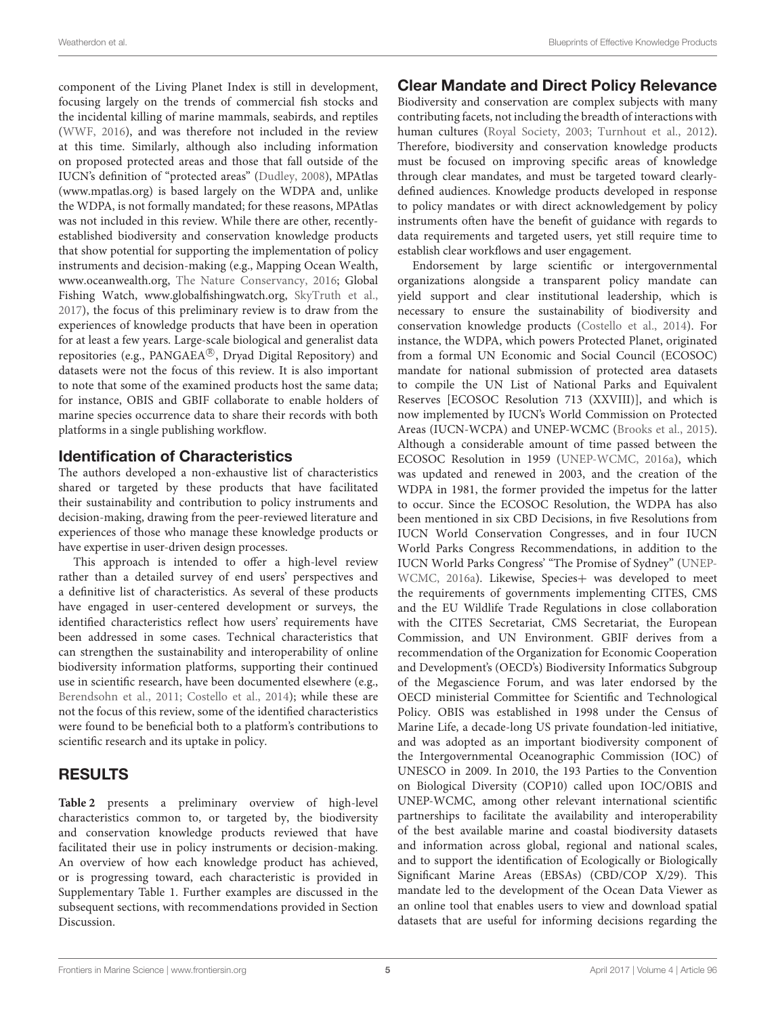component of the Living Planet Index is still in development, focusing largely on the trends of commercial fish stocks and the incidental killing of marine mammals, seabirds, and reptiles [\(WWF, 2016\)](#page-15-0), and was therefore not included in the review at this time. Similarly, although also including information on proposed protected areas and those that fall outside of the IUCN's definition of "protected areas" [\(Dudley, 2008\)](#page-12-14), MPAtlas [\(www.mpatlas.org\)](www.mpatlas.org) is based largely on the WDPA and, unlike the WDPA, is not formally mandated; for these reasons, MPAtlas was not included in this review. While there are other, recentlyestablished biodiversity and conservation knowledge products that show potential for supporting the implementation of policy instruments and decision-making (e.g., Mapping Ocean Wealth, [www.oceanwealth.org,](www.oceanwealth.org) [The Nature Conservancy, 2016;](#page-14-16) Global Fishing Watch, [www.globalfishingwatch.org,](www.globalfishingwatch.org) [SkyTruth et al.,](#page-14-17) [2017\)](#page-14-17), the focus of this preliminary review is to draw from the experiences of knowledge products that have been in operation for at least a few years. Large-scale biological and generalist data repositories (e.g., PANGAEA®, Dryad Digital Repository) and datasets were not the focus of this review. It is also important to note that some of the examined products host the same data; for instance, OBIS and GBIF collaborate to enable holders of marine species occurrence data to share their records with both platforms in a single publishing workflow.

#### Identification of Characteristics

The authors developed a non-exhaustive list of characteristics shared or targeted by these products that have facilitated their sustainability and contribution to policy instruments and decision-making, drawing from the peer-reviewed literature and experiences of those who manage these knowledge products or have expertise in user-driven design processes.

This approach is intended to offer a high-level review rather than a detailed survey of end users' perspectives and a definitive list of characteristics. As several of these products have engaged in user-centered development or surveys, the identified characteristics reflect how users' requirements have been addressed in some cases. Technical characteristics that can strengthen the sustainability and interoperability of online biodiversity information platforms, supporting their continued use in scientific research, have been documented elsewhere (e.g., [Berendsohn et al., 2011;](#page-12-15) [Costello et al., 2014\)](#page-12-10); while these are not the focus of this review, some of the identified characteristics were found to be beneficial both to a platform's contributions to scientific research and its uptake in policy.

## RESULTS

**[Table 2](#page-5-0)** presents a preliminary overview of high-level characteristics common to, or targeted by, the biodiversity and conservation knowledge products reviewed that have facilitated their use in policy instruments or decision-making. An overview of how each knowledge product has achieved, or is progressing toward, each characteristic is provided in Supplementary Table 1. Further examples are discussed in the subsequent sections, with recommendations provided in Section Discussion.

### Clear Mandate and Direct Policy Relevance

Biodiversity and conservation are complex subjects with many contributing facets, not including the breadth of interactions with human cultures [\(Royal Society, 2003;](#page-14-18) [Turnhout et al., 2012\)](#page-14-19). Therefore, biodiversity and conservation knowledge products must be focused on improving specific areas of knowledge through clear mandates, and must be targeted toward clearlydefined audiences. Knowledge products developed in response to policy mandates or with direct acknowledgement by policy instruments often have the benefit of guidance with regards to data requirements and targeted users, yet still require time to establish clear workflows and user engagement.

Endorsement by large scientific or intergovernmental organizations alongside a transparent policy mandate can yield support and clear institutional leadership, which is necessary to ensure the sustainability of biodiversity and conservation knowledge products [\(Costello et al., 2014\)](#page-12-10). For instance, the WDPA, which powers Protected Planet, originated from a formal UN Economic and Social Council (ECOSOC) mandate for national submission of protected area datasets to compile the UN List of National Parks and Equivalent Reserves [ECOSOC Resolution 713 (XXVIII)], and which is now implemented by IUCN's World Commission on Protected Areas (IUCN-WCPA) and UNEP-WCMC [\(Brooks et al., 2015\)](#page-12-11). Although a considerable amount of time passed between the ECOSOC Resolution in 1959 [\(UNEP-WCMC, 2016a\)](#page-14-14), which was updated and renewed in 2003, and the creation of the WDPA in 1981, the former provided the impetus for the latter to occur. Since the ECOSOC Resolution, the WDPA has also been mentioned in six CBD Decisions, in five Resolutions from IUCN World Conservation Congresses, and in four IUCN World Parks Congress Recommendations, in addition to the IUCN World Parks Congress' "The Promise of Sydney" (UNEP-WCMC, [2016a\)](#page-14-14). Likewise, Species+ was developed to meet the requirements of governments implementing CITES, CMS and the EU Wildlife Trade Regulations in close collaboration with the CITES Secretariat, CMS Secretariat, the European Commission, and UN Environment. GBIF derives from a recommendation of the Organization for Economic Cooperation and Development's (OECD's) Biodiversity Informatics Subgroup of the Megascience Forum, and was later endorsed by the OECD ministerial Committee for Scientific and Technological Policy. OBIS was established in 1998 under the Census of Marine Life, a decade-long US private foundation-led initiative, and was adopted as an important biodiversity component of the Intergovernmental Oceanographic Commission (IOC) of UNESCO in 2009. In 2010, the 193 Parties to the Convention on Biological Diversity (COP10) called upon IOC/OBIS and UNEP-WCMC, among other relevant international scientific partnerships to facilitate the availability and interoperability of the best available marine and coastal biodiversity datasets and information across global, regional and national scales, and to support the identification of Ecologically or Biologically Significant Marine Areas (EBSAs) (CBD/COP X/29). This mandate led to the development of the Ocean Data Viewer as an online tool that enables users to view and download spatial datasets that are useful for informing decisions regarding the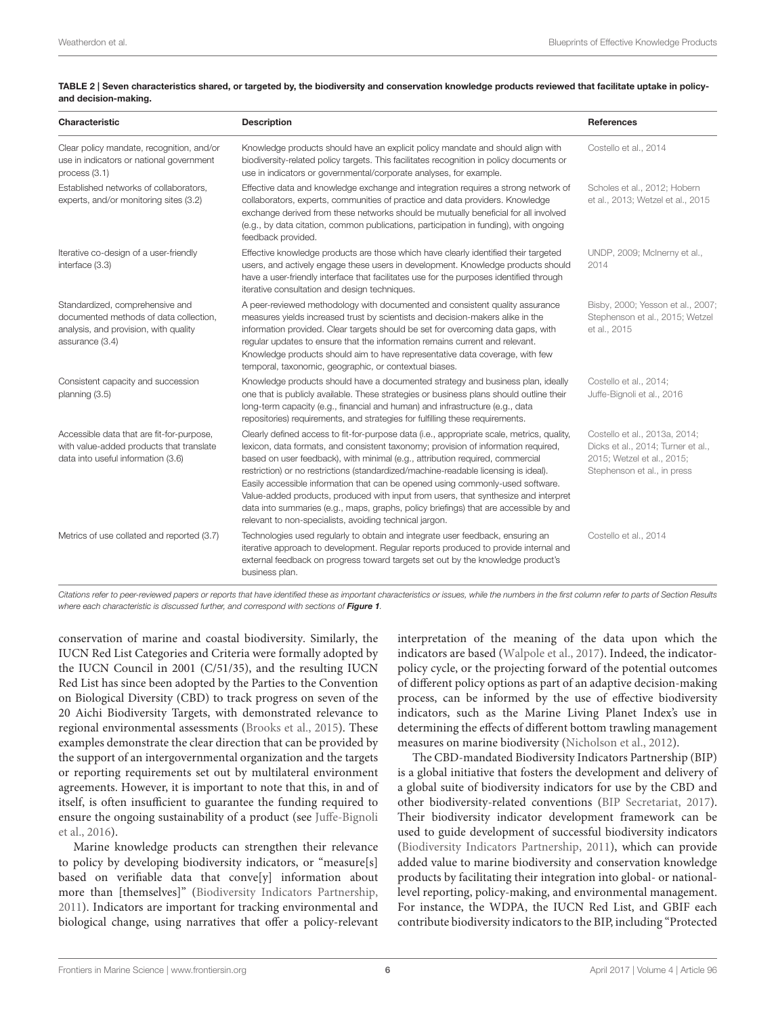#### <span id="page-5-0"></span>TABLE 2 | Seven characteristics shared, or targeted by, the biodiversity and conservation knowledge products reviewed that facilitate uptake in policyand decision-making.

| <b>Characteristic</b>                                                                                                                 | <b>Description</b>                                                                                                                                                                                                                                                                                                                                                                                                                                                                                                                                                                                                                                                                    | <b>References</b>                                                                                                                |
|---------------------------------------------------------------------------------------------------------------------------------------|---------------------------------------------------------------------------------------------------------------------------------------------------------------------------------------------------------------------------------------------------------------------------------------------------------------------------------------------------------------------------------------------------------------------------------------------------------------------------------------------------------------------------------------------------------------------------------------------------------------------------------------------------------------------------------------|----------------------------------------------------------------------------------------------------------------------------------|
| Clear policy mandate, recognition, and/or<br>use in indicators or national government<br>process $(3.1)$                              | Knowledge products should have an explicit policy mandate and should align with<br>biodiversity-related policy targets. This facilitates recognition in policy documents or<br>use in indicators or governmental/corporate analyses, for example.                                                                                                                                                                                                                                                                                                                                                                                                                                     | Costello et al., 2014                                                                                                            |
| Established networks of collaborators,<br>experts, and/or monitoring sites (3.2)                                                      | Effective data and knowledge exchange and integration requires a strong network of<br>collaborators, experts, communities of practice and data providers. Knowledge<br>exchange derived from these networks should be mutually beneficial for all involved<br>(e.g., by data citation, common publications, participation in funding), with ongoing<br>feedback provided.                                                                                                                                                                                                                                                                                                             | Scholes et al., 2012; Hobern<br>et al., 2013; Wetzel et al., 2015                                                                |
| Iterative co-design of a user-friendly<br>interface (3.3)                                                                             | Effective knowledge products are those which have clearly identified their targeted<br>users, and actively engage these users in development. Knowledge products should<br>have a user-friendly interface that facilitates use for the purposes identified through<br>iterative consultation and design techniques.                                                                                                                                                                                                                                                                                                                                                                   | UNDP, 2009; McInerny et al.,<br>2014                                                                                             |
| Standardized, comprehensive and<br>documented methods of data collection,<br>analysis, and provision, with quality<br>assurance (3.4) | A peer-reviewed methodology with documented and consistent quality assurance<br>measures yields increased trust by scientists and decision-makers alike in the<br>information provided. Clear targets should be set for overcoming data gaps, with<br>regular updates to ensure that the information remains current and relevant.<br>Knowledge products should aim to have representative data coverage, with few<br>temporal, taxonomic, geographic, or contextual biases.                                                                                                                                                                                                          | Bisby, 2000; Yesson et al., 2007;<br>Stephenson et al., 2015; Wetzel<br>et al., 2015                                             |
| Consistent capacity and succession<br>planning (3.5)                                                                                  | Knowledge products should have a documented strategy and business plan, ideally<br>one that is publicly available. These strategies or business plans should outline their<br>long-term capacity (e.g., financial and human) and infrastructure (e.g., data<br>repositories) requirements, and strategies for fulfilling these requirements.                                                                                                                                                                                                                                                                                                                                          | Costello et al., 2014;<br>Juffe-Bignoli et al., 2016                                                                             |
| Accessible data that are fit-for-purpose,<br>with value-added products that translate<br>data into useful information (3.6)           | Clearly defined access to fit-for-purpose data (i.e., appropriate scale, metrics, quality,<br>lexicon, data formats, and consistent taxonomy; provision of information required,<br>based on user feedback), with minimal (e.g., attribution required, commercial<br>restriction) or no restrictions (standardized/machine-readable licensing is ideal).<br>Easily accessible information that can be opened using commonly-used software.<br>Value-added products, produced with input from users, that synthesize and interpret<br>data into summaries (e.g., maps, graphs, policy briefings) that are accessible by and<br>relevant to non-specialists, avoiding technical jargon. | Costello et al., 2013a, 2014;<br>Dicks et al., 2014; Turner et al.,<br>2015; Wetzel et al., 2015;<br>Stephenson et al., in press |
| Metrics of use collated and reported (3.7)                                                                                            | Technologies used reqularly to obtain and integrate user feedback, ensuring an<br>iterative approach to development. Regular reports produced to provide internal and<br>external feedback on progress toward targets set out by the knowledge product's<br>business plan.                                                                                                                                                                                                                                                                                                                                                                                                            | Costello et al., 2014                                                                                                            |

Citations refer to peer-reviewed papers or reports that have identified these as important characteristics or issues, while the numbers in the first column refer to parts of Section Results where each characteristic is discussed further, and correspond with sections of [Figure 1](#page-6-0).

conservation of marine and coastal biodiversity. Similarly, the IUCN Red List Categories and Criteria were formally adopted by the IUCN Council in 2001 (C/51/35), and the resulting IUCN Red List has since been adopted by the Parties to the Convention on Biological Diversity (CBD) to track progress on seven of the 20 Aichi Biodiversity Targets, with demonstrated relevance to regional environmental assessments [\(Brooks et al., 2015\)](#page-12-11). These examples demonstrate the clear direction that can be provided by the support of an intergovernmental organization and the targets or reporting requirements set out by multilateral environment agreements. However, it is important to note that this, in and of itself, is often insufficient to guarantee the funding required to ensure the ongoing sustainability of a product (see Juffe-Bignoli et al., [2016\)](#page-13-20).

Marine knowledge products can strengthen their relevance to policy by developing biodiversity indicators, or "measure[s] based on verifiable data that conve[y] information about more than [themselves]" [\(Biodiversity Indicators Partnership,](#page-12-19) [2011\)](#page-12-19). Indicators are important for tracking environmental and biological change, using narratives that offer a policy-relevant interpretation of the meaning of the data upon which the indicators are based [\(Walpole et al., 2017\)](#page-14-23). Indeed, the indicatorpolicy cycle, or the projecting forward of the potential outcomes of different policy options as part of an adaptive decision-making process, can be informed by the use of effective biodiversity indicators, such as the Marine Living Planet Index's use in determining the effects of different bottom trawling management measures on marine biodiversity [\(Nicholson et al., 2012\)](#page-13-21).

The CBD-mandated Biodiversity Indicators Partnership (BIP) is a global initiative that fosters the development and delivery of a global suite of biodiversity indicators for use by the CBD and other biodiversity-related conventions [\(BIP Secretariat, 2017\)](#page-12-20). Their biodiversity indicator development framework can be used to guide development of successful biodiversity indicators [\(Biodiversity Indicators Partnership, 2011\)](#page-12-19), which can provide added value to marine biodiversity and conservation knowledge products by facilitating their integration into global- or nationallevel reporting, policy-making, and environmental management. For instance, the WDPA, the IUCN Red List, and GBIF each contribute biodiversity indicators to the BIP, including "Protected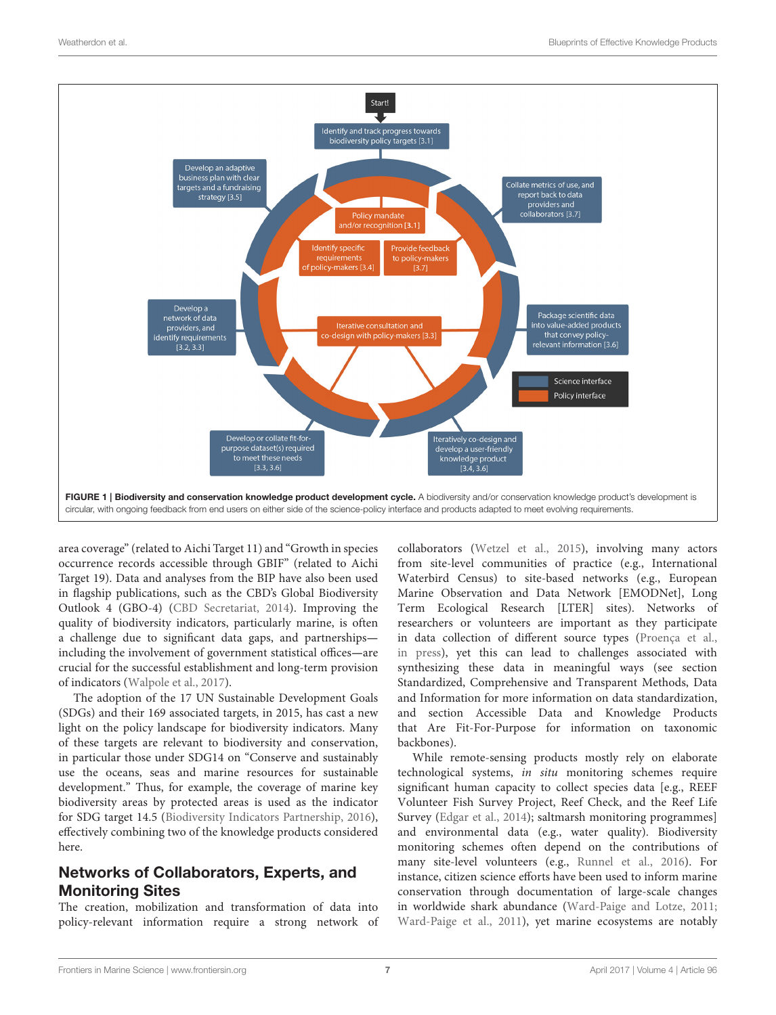

<span id="page-6-0"></span>area coverage" (related to Aichi Target 11) and "Growth in species occurrence records accessible through GBIF" (related to Aichi Target 19). Data and analyses from the BIP have also been used in flagship publications, such as the CBD's Global Biodiversity Outlook 4 (GBO-4) [\(CBD Secretariat, 2014\)](#page-12-21). Improving the quality of biodiversity indicators, particularly marine, is often a challenge due to significant data gaps, and partnerships including the involvement of government statistical offices**—**are crucial for the successful establishment and long-term provision of indicators [\(Walpole et al., 2017\)](#page-14-23).

The adoption of the 17 UN Sustainable Development Goals (SDGs) and their 169 associated targets, in 2015, has cast a new light on the policy landscape for biodiversity indicators. Many of these targets are relevant to biodiversity and conservation, in particular those under SDG14 on "Conserve and sustainably use the oceans, seas and marine resources for sustainable development." Thus, for example, the coverage of marine key biodiversity areas by protected areas is used as the indicator for SDG target 14.5 [\(Biodiversity Indicators Partnership, 2016\)](#page-12-22), effectively combining two of the knowledge products considered here.

#### Networks of Collaborators, Experts, and Monitoring Sites

The creation, mobilization and transformation of data into policy-relevant information require a strong network of collaborators [\(Wetzel et al., 2015\)](#page-14-7), involving many actors from site-level communities of practice (e.g., International Waterbird Census) to site-based networks (e.g., European Marine Observation and Data Network [EMODNet], Long Term Ecological Research [LTER] sites). Networks of researchers or volunteers are important as they participate in data collection of different source types [\(Proença et al.,](#page-14-24) [in press\)](#page-14-24), yet this can lead to challenges associated with synthesizing these data in meaningful ways (see section Standardized, Comprehensive and Transparent Methods, Data and Information for more information on data standardization, and section Accessible Data and Knowledge Products that Are Fit-For-Purpose for information on taxonomic backbones).

While remote-sensing products mostly rely on elaborate technological systems, in situ monitoring schemes require significant human capacity to collect species data [e.g., REEF Volunteer Fish Survey Project, Reef Check, and the Reef Life Survey [\(Edgar et al., 2014\)](#page-12-23); saltmarsh monitoring programmes] and environmental data (e.g., water quality). Biodiversity monitoring schemes often depend on the contributions of many site-level volunteers (e.g., [Runnel et al., 2016\)](#page-14-25). For instance, citizen science efforts have been used to inform marine conservation through documentation of large-scale changes in worldwide shark abundance [\(Ward-Paige and Lotze, 2011;](#page-14-26) [Ward-Paige et al., 2011\)](#page-14-27), yet marine ecosystems are notably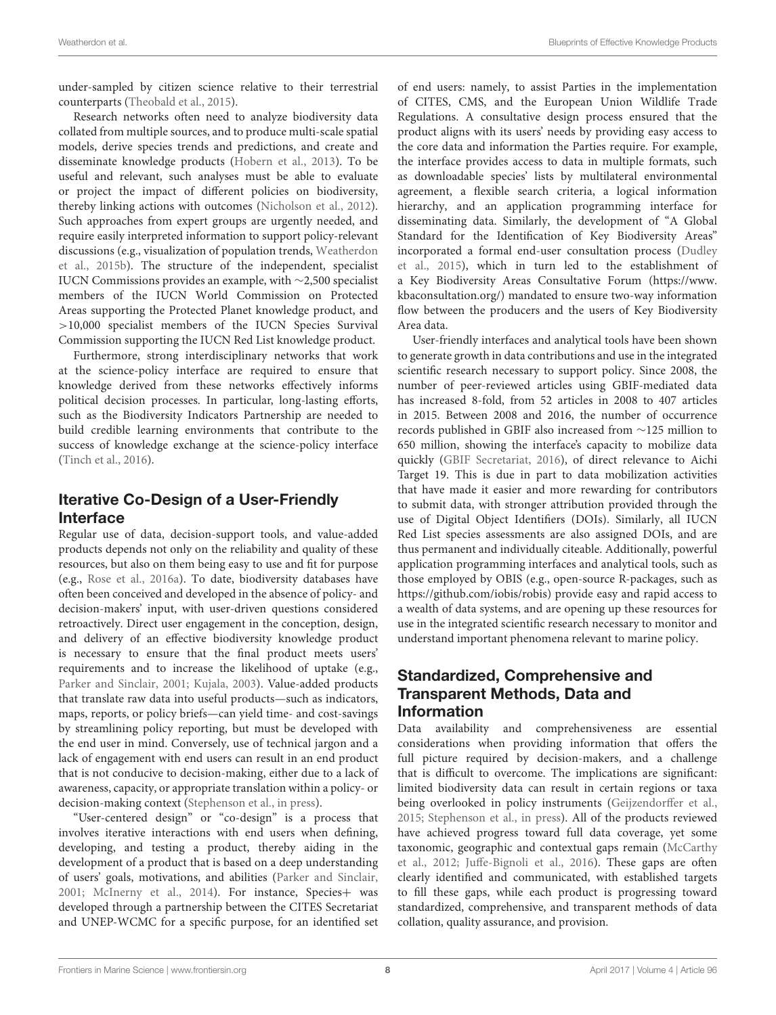under-sampled by citizen science relative to their terrestrial counterparts [\(Theobald et al., 2015\)](#page-14-28).

Research networks often need to analyze biodiversity data collated from multiple sources, and to produce multi-scale spatial models, derive species trends and predictions, and create and disseminate knowledge products [\(Hobern et al., 2013\)](#page-13-18). To be useful and relevant, such analyses must be able to evaluate or project the impact of different policies on biodiversity, thereby linking actions with outcomes [\(Nicholson et al., 2012\)](#page-13-21). Such approaches from expert groups are urgently needed, and require easily interpreted information to support policy-relevant discussions (e.g., visualization of population trends, Weatherdon et al., [2015b\)](#page-14-29). The structure of the independent, specialist IUCN Commissions provides an example, with ∼2,500 specialist members of the IUCN World Commission on Protected Areas supporting the Protected Planet knowledge product, and >10,000 specialist members of the IUCN Species Survival Commission supporting the IUCN Red List knowledge product.

Furthermore, strong interdisciplinary networks that work at the science-policy interface are required to ensure that knowledge derived from these networks effectively informs political decision processes. In particular, long-lasting efforts, such as the Biodiversity Indicators Partnership are needed to build credible learning environments that contribute to the success of knowledge exchange at the science-policy interface [\(Tinch et al., 2016\)](#page-14-30).

### Iterative Co-Design of a User-Friendly Interface

Regular use of data, decision-support tools, and value-added products depends not only on the reliability and quality of these resources, but also on them being easy to use and fit for purpose (e.g., [Rose et al., 2016a\)](#page-14-31). To date, biodiversity databases have often been conceived and developed in the absence of policy- and decision-makers' input, with user-driven questions considered retroactively. Direct user engagement in the conception, design, and delivery of an effective biodiversity knowledge product is necessary to ensure that the final product meets users' requirements and to increase the likelihood of uptake (e.g., [Parker and Sinclair, 2001;](#page-14-32) [Kujala, 2003\)](#page-13-22). Value-added products that translate raw data into useful products—such as indicators, maps, reports, or policy briefs—can yield time- and cost-savings by streamlining policy reporting, but must be developed with the end user in mind. Conversely, use of technical jargon and a lack of engagement with end users can result in an end product that is not conducive to decision-making, either due to a lack of awareness, capacity, or appropriate translation within a policy- or decision-making context [\(Stephenson et al., in press\)](#page-14-2).

"User-centered design" or "co-design" is a process that involves iterative interactions with end users when defining, developing, and testing a product, thereby aiding in the development of a product that is based on a deep understanding of users' goals, motivations, and abilities [\(Parker and Sinclair,](#page-14-32) [2001;](#page-14-32) [McInerny et al., 2014\)](#page-13-19). For instance, Species+ was developed through a partnership between the CITES Secretariat and UNEP-WCMC for a specific purpose, for an identified set of end users: namely, to assist Parties in the implementation of CITES, CMS, and the European Union Wildlife Trade Regulations. A consultative design process ensured that the product aligns with its users' needs by providing easy access to the core data and information the Parties require. For example, the interface provides access to data in multiple formats, such as downloadable species' lists by multilateral environmental agreement, a flexible search criteria, a logical information hierarchy, and an application programming interface for disseminating data. Similarly, the development of "A Global Standard for the Identification of Key Biodiversity Areas" incorporated a formal end-user consultation process (Dudley et al., [2015\)](#page-12-24), which in turn led to the establishment of a Key Biodiversity Areas Consultative Forum [\(https://www.](https://www.kbaconsultation.org/) [kbaconsultation.org/\)](https://www.kbaconsultation.org/) mandated to ensure two-way information flow between the producers and the users of Key Biodiversity Area data.

User-friendly interfaces and analytical tools have been shown to generate growth in data contributions and use in the integrated scientific research necessary to support policy. Since 2008, the number of peer-reviewed articles using GBIF-mediated data has increased 8-fold, from 52 articles in 2008 to 407 articles in 2015. Between 2008 and 2016, the number of occurrence records published in GBIF also increased from ∼125 million to 650 million, showing the interface's capacity to mobilize data quickly [\(GBIF Secretariat, 2016\)](#page-13-23), of direct relevance to Aichi Target 19. This is due in part to data mobilization activities that have made it easier and more rewarding for contributors to submit data, with stronger attribution provided through the use of Digital Object Identifiers (DOIs). Similarly, all IUCN Red List species assessments are also assigned DOIs, and are thus permanent and individually citeable. Additionally, powerful application programming interfaces and analytical tools, such as those employed by OBIS (e.g., open-source R-packages, such as [https://github.com/iobis/robis\)](https://github.com/iobis/robis) provide easy and rapid access to a wealth of data systems, and are opening up these resources for use in the integrated scientific research necessary to monitor and understand important phenomena relevant to marine policy.

#### Standardized, Comprehensive and Transparent Methods, Data and Information

Data availability and comprehensiveness are essential considerations when providing information that offers the full picture required by decision-makers, and a challenge that is difficult to overcome. The implications are significant: limited biodiversity data can result in certain regions or taxa being overlooked in policy instruments [\(Geijzendorffer et al.,](#page-13-4) [2015;](#page-13-4) [Stephenson et al., in press\)](#page-14-2). All of the products reviewed have achieved progress toward full data coverage, yet some taxonomic, geographic and contextual gaps remain (McCarthy et al., [2012;](#page-13-24) [Juffe-Bignoli et al., 2016\)](#page-13-20). These gaps are often clearly identified and communicated, with established targets to fill these gaps, while each product is progressing toward standardized, comprehensive, and transparent methods of data collation, quality assurance, and provision.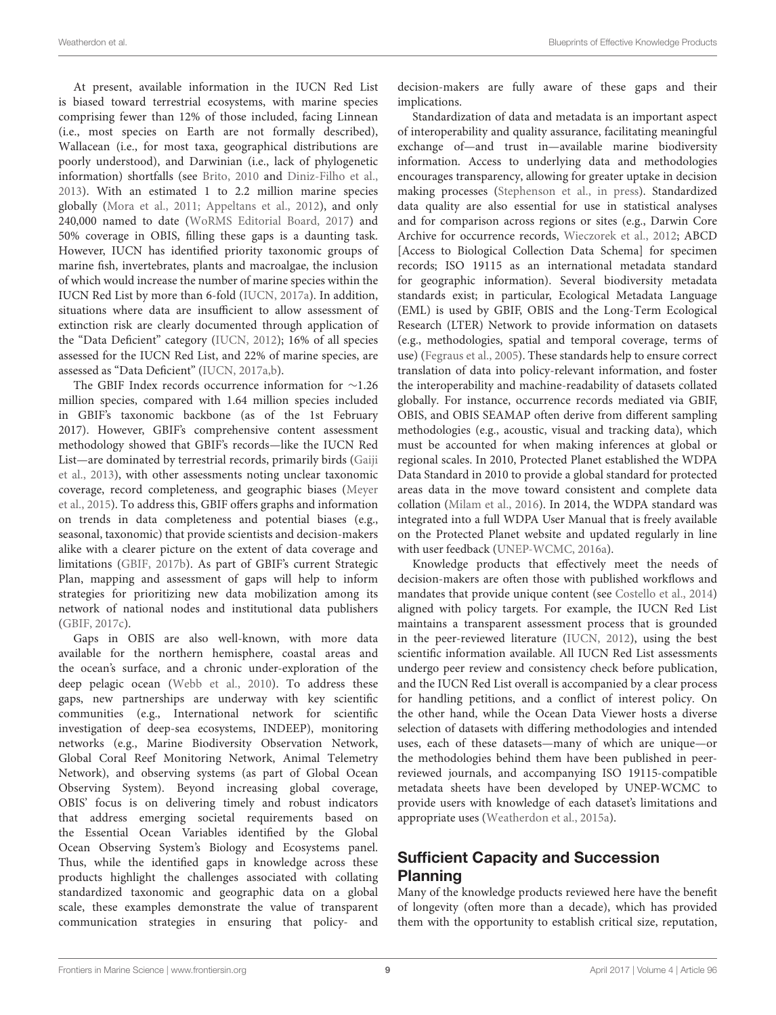At present, available information in the IUCN Red List is biased toward terrestrial ecosystems, with marine species comprising fewer than 12% of those included, facing Linnean (i.e., most species on Earth are not formally described), Wallacean (i.e., for most taxa, geographical distributions are poorly understood), and Darwinian (i.e., lack of phylogenetic information) shortfalls (see [Brito, 2010](#page-12-25) and [Diniz-Filho et al.,](#page-12-26) [2013\)](#page-12-26). With an estimated 1 to 2.2 million marine species globally [\(Mora et al., 2011;](#page-13-25) [Appeltans et al., 2012\)](#page-12-27), and only 240,000 named to date [\(WoRMS Editorial Board, 2017\)](#page-15-4) and 50% coverage in OBIS, filling these gaps is a daunting task. However, IUCN has identified priority taxonomic groups of marine fish, invertebrates, plants and macroalgae, the inclusion of which would increase the number of marine species within the IUCN Red List by more than 6-fold [\(IUCN, 2017a\)](#page-13-14). In addition, situations where data are insufficient to allow assessment of extinction risk are clearly documented through application of the "Data Deficient" category [\(IUCN, 2012\)](#page-13-26); 16% of all species assessed for the IUCN Red List, and 22% of marine species, are assessed as "Data Deficient" [\(IUCN, 2017a,](#page-13-14)[b\)](#page-13-27).

The GBIF Index records occurrence information for ∼1.26 million species, compared with 1.64 million species included in GBIF's taxonomic backbone (as of the 1st February 2017). However, GBIF's comprehensive content assessment methodology showed that GBIF's records—like the IUCN Red List—are dominated by terrestrial records, primarily birds (Gaiji et al., [2013\)](#page-13-28), with other assessments noting unclear taxonomic coverage, record completeness, and geographic biases (Meyer et al., [2015\)](#page-13-29). To address this, GBIF offers graphs and information on trends in data completeness and potential biases (e.g., seasonal, taxonomic) that provide scientists and decision-makers alike with a clearer picture on the extent of data coverage and limitations [\(GBIF, 2017b\)](#page-13-30). As part of GBIF's current Strategic Plan, mapping and assessment of gaps will help to inform strategies for prioritizing new data mobilization among its network of national nodes and institutional data publishers [\(GBIF, 2017c\)](#page-13-31).

Gaps in OBIS are also well-known, with more data available for the northern hemisphere, coastal areas and the ocean's surface, and a chronic under-exploration of the deep pelagic ocean [\(Webb et al., 2010\)](#page-14-33). To address these gaps, new partnerships are underway with key scientific communities (e.g., International network for scientific investigation of deep-sea ecosystems, INDEEP), monitoring networks (e.g., Marine Biodiversity Observation Network, Global Coral Reef Monitoring Network, Animal Telemetry Network), and observing systems (as part of Global Ocean Observing System). Beyond increasing global coverage, OBIS' focus is on delivering timely and robust indicators that address emerging societal requirements based on the Essential Ocean Variables identified by the Global Ocean Observing System's Biology and Ecosystems panel. Thus, while the identified gaps in knowledge across these products highlight the challenges associated with collating standardized taxonomic and geographic data on a global scale, these examples demonstrate the value of transparent communication strategies in ensuring that policy- and decision-makers are fully aware of these gaps and their implications.

Standardization of data and metadata is an important aspect of interoperability and quality assurance, facilitating meaningful exchange of—and trust in—available marine biodiversity information. Access to underlying data and methodologies encourages transparency, allowing for greater uptake in decision making processes [\(Stephenson et al., in press\)](#page-14-2). Standardized data quality are also essential for use in statistical analyses and for comparison across regions or sites (e.g., Darwin Core Archive for occurrence records, [Wieczorek et al., 2012;](#page-15-5) ABCD [Access to Biological Collection Data Schema] for specimen records; ISO 19115 as an international metadata standard for geographic information). Several biodiversity metadata standards exist; in particular, Ecological Metadata Language (EML) is used by GBIF, OBIS and the Long-Term Ecological Research (LTER) Network to provide information on datasets (e.g., methodologies, spatial and temporal coverage, terms of use) [\(Fegraus et al., 2005\)](#page-13-32). These standards help to ensure correct translation of data into policy-relevant information, and foster the interoperability and machine-readability of datasets collated globally. For instance, occurrence records mediated via GBIF, OBIS, and OBIS SEAMAP often derive from different sampling methodologies (e.g., acoustic, visual and tracking data), which must be accounted for when making inferences at global or regional scales. In 2010, Protected Planet established the WDPA Data Standard in 2010 to provide a global standard for protected areas data in the move toward consistent and complete data collation [\(Milam et al., 2016\)](#page-13-33). In 2014, the WDPA standard was integrated into a full WDPA User Manual that is freely available on the Protected Planet website and updated regularly in line with user feedback [\(UNEP-WCMC, 2016a\)](#page-14-14).

Knowledge products that effectively meet the needs of decision-makers are often those with published workflows and mandates that provide unique content (see [Costello et al., 2014\)](#page-12-10) aligned with policy targets. For example, the IUCN Red List maintains a transparent assessment process that is grounded in the peer-reviewed literature [\(IUCN, 2012\)](#page-13-26), using the best scientific information available. All IUCN Red List assessments undergo peer review and consistency check before publication, and the IUCN Red List overall is accompanied by a clear process for handling petitions, and a conflict of interest policy. On the other hand, while the Ocean Data Viewer hosts a diverse selection of datasets with differing methodologies and intended uses, each of these datasets—many of which are unique—or the methodologies behind them have been published in peerreviewed journals, and accompanying ISO 19115-compatible metadata sheets have been developed by UNEP-WCMC to provide users with knowledge of each dataset's limitations and appropriate uses [\(Weatherdon et al., 2015a\)](#page-14-10).

### Sufficient Capacity and Succession Planning

Many of the knowledge products reviewed here have the benefit of longevity (often more than a decade), which has provided them with the opportunity to establish critical size, reputation,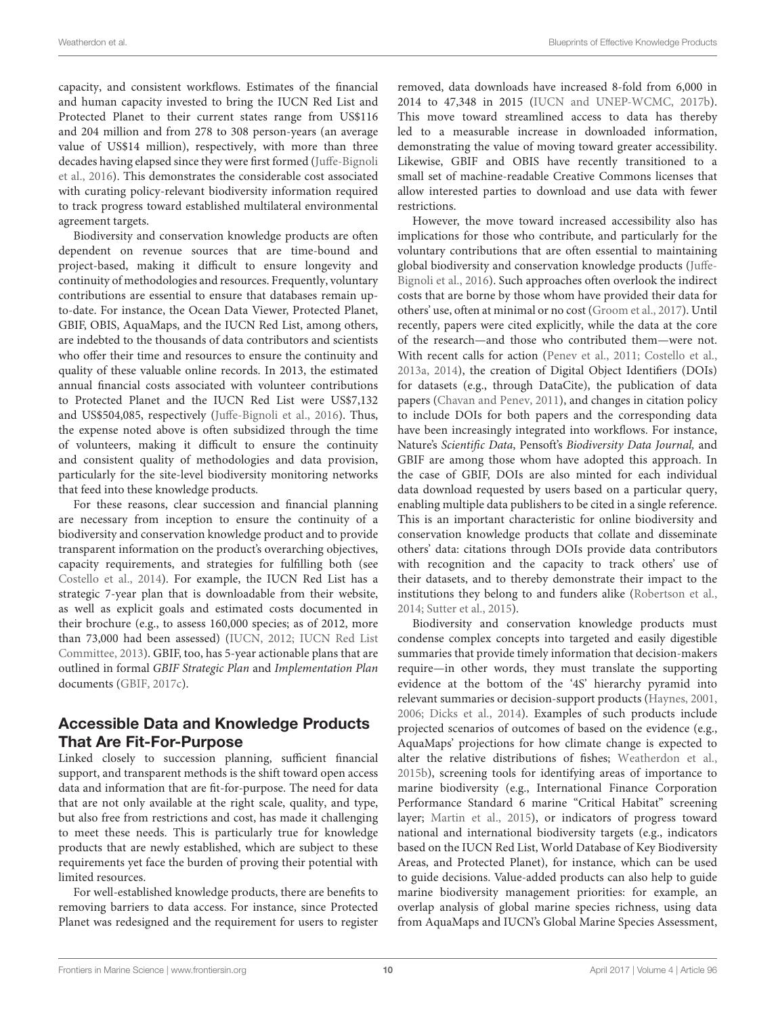capacity, and consistent workflows. Estimates of the financial and human capacity invested to bring the IUCN Red List and Protected Planet to their current states range from US\$116 and 204 million and from 278 to 308 person-years (an average value of US\$14 million), respectively, with more than three decades having elapsed since they were first formed (Juffe-Bignoli et al., [2016\)](#page-13-20). This demonstrates the considerable cost associated with curating policy-relevant biodiversity information required to track progress toward established multilateral environmental agreement targets.

Biodiversity and conservation knowledge products are often dependent on revenue sources that are time-bound and project-based, making it difficult to ensure longevity and continuity of methodologies and resources. Frequently, voluntary contributions are essential to ensure that databases remain upto-date. For instance, the Ocean Data Viewer, Protected Planet, GBIF, OBIS, AquaMaps, and the IUCN Red List, among others, are indebted to the thousands of data contributors and scientists who offer their time and resources to ensure the continuity and quality of these valuable online records. In 2013, the estimated annual financial costs associated with volunteer contributions to Protected Planet and the IUCN Red List were US\$7,132 and US\$504,085, respectively [\(Juffe-Bignoli et al., 2016\)](#page-13-20). Thus, the expense noted above is often subsidized through the time of volunteers, making it difficult to ensure the continuity and consistent quality of methodologies and data provision, particularly for the site-level biodiversity monitoring networks that feed into these knowledge products.

For these reasons, clear succession and financial planning are necessary from inception to ensure the continuity of a biodiversity and conservation knowledge product and to provide transparent information on the product's overarching objectives, capacity requirements, and strategies for fulfilling both (see [Costello et al., 2014\)](#page-12-10). For example, the IUCN Red List has a strategic 7-year plan that is downloadable from their website, as well as explicit goals and estimated costs documented in their brochure (e.g., to assess 160,000 species; as of 2012, more than 73,000 had been assessed) [\(IUCN, 2012;](#page-13-26) IUCN Red List Committee, [2013\)](#page-13-34). GBIF, too, has 5-year actionable plans that are outlined in formal GBIF Strategic Plan and Implementation Plan documents [\(GBIF, 2017c\)](#page-13-31).

#### Accessible Data and Knowledge Products That Are Fit-For-Purpose

Linked closely to succession planning, sufficient financial support, and transparent methods is the shift toward open access data and information that are fit-for-purpose. The need for data that are not only available at the right scale, quality, and type, but also free from restrictions and cost, has made it challenging to meet these needs. This is particularly true for knowledge products that are newly established, which are subject to these requirements yet face the burden of proving their potential with limited resources.

For well-established knowledge products, there are benefits to removing barriers to data access. For instance, since Protected Planet was redesigned and the requirement for users to register removed, data downloads have increased 8-fold from 6,000 in 2014 to 47,348 in 2015 [\(IUCN and UNEP-WCMC, 2017b\)](#page-13-35). This move toward streamlined access to data has thereby led to a measurable increase in downloaded information, demonstrating the value of moving toward greater accessibility. Likewise, GBIF and OBIS have recently transitioned to a small set of machine-readable Creative Commons licenses that allow interested parties to download and use data with fewer restrictions.

However, the move toward increased accessibility also has implications for those who contribute, and particularly for the voluntary contributions that are often essential to maintaining global biodiversity and conservation knowledge products (Juffe-Bignoli et al., [2016\)](#page-13-20). Such approaches often overlook the indirect costs that are borne by those whom have provided their data for others' use, often at minimal or no cost [\(Groom et al., 2017\)](#page-13-36). Until recently, papers were cited explicitly, while the data at the core of the research—and those who contributed them—were not. With recent calls for action [\(Penev et al., 2011;](#page-14-34) [Costello et al.,](#page-12-17) [2013a,](#page-12-17) [2014\)](#page-12-10), the creation of Digital Object Identifiers (DOIs) for datasets (e.g., through DataCite), the publication of data papers [\(Chavan and Penev, 2011\)](#page-12-28), and changes in citation policy to include DOIs for both papers and the corresponding data have been increasingly integrated into workflows. For instance, Nature's Scientific Data, Pensoft's Biodiversity Data Journal, and GBIF are among those whom have adopted this approach. In the case of GBIF, DOIs are also minted for each individual data download requested by users based on a particular query, enabling multiple data publishers to be cited in a single reference. This is an important characteristic for online biodiversity and conservation knowledge products that collate and disseminate others' data: citations through DOIs provide data contributors with recognition and the capacity to track others' use of their datasets, and to thereby demonstrate their impact to the institutions they belong to and funders alike [\(Robertson et al.,](#page-14-35) [2014;](#page-14-35) [Sutter et al., 2015\)](#page-14-36).

Biodiversity and conservation knowledge products must condense complex concepts into targeted and easily digestible summaries that provide timely information that decision-makers require—in other words, they must translate the supporting evidence at the bottom of the '4S' hierarchy pyramid into relevant summaries or decision-support products [\(Haynes, 2001,](#page-13-37) [2006;](#page-13-38) [Dicks et al., 2014\)](#page-12-18). Examples of such products include projected scenarios of outcomes of based on the evidence (e.g., AquaMaps' projections for how climate change is expected to alter the relative distributions of fishes; [Weatherdon et al.,](#page-14-29) [2015b\)](#page-14-29), screening tools for identifying areas of importance to marine biodiversity (e.g., International Finance Corporation Performance Standard 6 marine "Critical Habitat" screening layer; [Martin et al., 2015\)](#page-13-39), or indicators of progress toward national and international biodiversity targets (e.g., indicators based on the IUCN Red List, World Database of Key Biodiversity Areas, and Protected Planet), for instance, which can be used to guide decisions. Value-added products can also help to guide marine biodiversity management priorities: for example, an overlap analysis of global marine species richness, using data from AquaMaps and IUCN's Global Marine Species Assessment,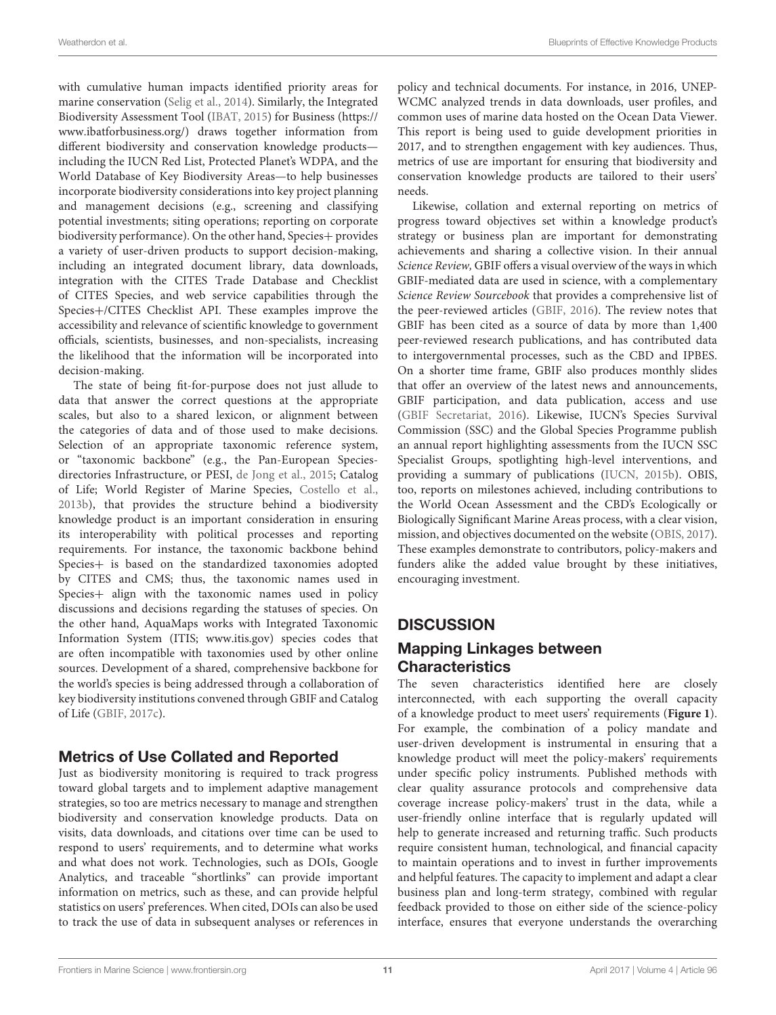with cumulative human impacts identified priority areas for marine conservation [\(Selig et al., 2014\)](#page-14-37). Similarly, the Integrated Biodiversity Assessment Tool [\(IBAT, 2015\)](#page-13-40) for Business [\(https://](https://www.ibatforbusiness.org/) [www.ibatforbusiness.org/\)](https://www.ibatforbusiness.org/) draws together information from different biodiversity and conservation knowledge products including the IUCN Red List, Protected Planet's WDPA, and the World Database of Key Biodiversity Areas—to help businesses incorporate biodiversity considerations into key project planning and management decisions (e.g., screening and classifying potential investments; siting operations; reporting on corporate biodiversity performance). On the other hand, Species+ provides a variety of user-driven products to support decision-making, including an integrated document library, data downloads, integration with the CITES Trade Database and Checklist of CITES Species, and web service capabilities through the Species+/CITES Checklist API. These examples improve the accessibility and relevance of scientific knowledge to government officials, scientists, businesses, and non-specialists, increasing the likelihood that the information will be incorporated into decision-making.

The state of being fit-for-purpose does not just allude to data that answer the correct questions at the appropriate scales, but also to a shared lexicon, or alignment between the categories of data and of those used to make decisions. Selection of an appropriate taxonomic reference system, or "taxonomic backbone" (e.g., the Pan-European Speciesdirectories Infrastructure, or PESI, [de Jong et al., 2015;](#page-12-29) Catalog of Life; World Register of Marine Species, [Costello et al.,](#page-12-30) [2013b\)](#page-12-30), that provides the structure behind a biodiversity knowledge product is an important consideration in ensuring its interoperability with political processes and reporting requirements. For instance, the taxonomic backbone behind Species+ is based on the standardized taxonomies adopted by CITES and CMS; thus, the taxonomic names used in Species+ align with the taxonomic names used in policy discussions and decisions regarding the statuses of species. On the other hand, AquaMaps works with Integrated Taxonomic Information System (ITIS; [www.itis.gov\)](www.itis.gov) species codes that are often incompatible with taxonomies used by other online sources. Development of a shared, comprehensive backbone for the world's species is being addressed through a collaboration of key biodiversity institutions convened through GBIF and Catalog of Life [\(GBIF, 2017c\)](#page-13-31).

#### Metrics of Use Collated and Reported

Just as biodiversity monitoring is required to track progress toward global targets and to implement adaptive management strategies, so too are metrics necessary to manage and strengthen biodiversity and conservation knowledge products. Data on visits, data downloads, and citations over time can be used to respond to users' requirements, and to determine what works and what does not work. Technologies, such as DOIs, Google Analytics, and traceable "shortlinks" can provide important information on metrics, such as these, and can provide helpful statistics on users' preferences. When cited, DOIs can also be used to track the use of data in subsequent analyses or references in policy and technical documents. For instance, in 2016, UNEP-WCMC analyzed trends in data downloads, user profiles, and common uses of marine data hosted on the Ocean Data Viewer. This report is being used to guide development priorities in 2017, and to strengthen engagement with key audiences. Thus, metrics of use are important for ensuring that biodiversity and conservation knowledge products are tailored to their users' needs.

Likewise, collation and external reporting on metrics of progress toward objectives set within a knowledge product's strategy or business plan are important for demonstrating achievements and sharing a collective vision. In their annual Science Review, GBIF offers a visual overview of the ways in which GBIF-mediated data are used in science, with a complementary Science Review Sourcebook that provides a comprehensive list of the peer-reviewed articles [\(GBIF, 2016\)](#page-13-41). The review notes that GBIF has been cited as a source of data by more than 1,400 peer-reviewed research publications, and has contributed data to intergovernmental processes, such as the CBD and IPBES. On a shorter time frame, GBIF also produces monthly slides that offer an overview of the latest news and announcements, GBIF participation, and data publication, access and use [\(GBIF Secretariat, 2016\)](#page-13-23). Likewise, IUCN's Species Survival Commission (SSC) and the Global Species Programme publish an annual report highlighting assessments from the IUCN SSC Specialist Groups, spotlighting high-level interventions, and providing a summary of publications [\(IUCN, 2015b\)](#page-13-42). OBIS, too, reports on milestones achieved, including contributions to the World Ocean Assessment and the CBD's Ecologically or Biologically Significant Marine Areas process, with a clear vision, mission, and objectives documented on the website [\(OBIS, 2017\)](#page-13-15). These examples demonstrate to contributors, policy-makers and funders alike the added value brought by these initiatives, encouraging investment.

#### **DISCUSSION**

#### Mapping Linkages between **Characteristics**

The seven characteristics identified here are closely interconnected, with each supporting the overall capacity of a knowledge product to meet users' requirements (**[Figure 1](#page-6-0)**). For example, the combination of a policy mandate and user-driven development is instrumental in ensuring that a knowledge product will meet the policy-makers' requirements under specific policy instruments. Published methods with clear quality assurance protocols and comprehensive data coverage increase policy-makers' trust in the data, while a user-friendly online interface that is regularly updated will help to generate increased and returning traffic. Such products require consistent human, technological, and financial capacity to maintain operations and to invest in further improvements and helpful features. The capacity to implement and adapt a clear business plan and long-term strategy, combined with regular feedback provided to those on either side of the science-policy interface, ensures that everyone understands the overarching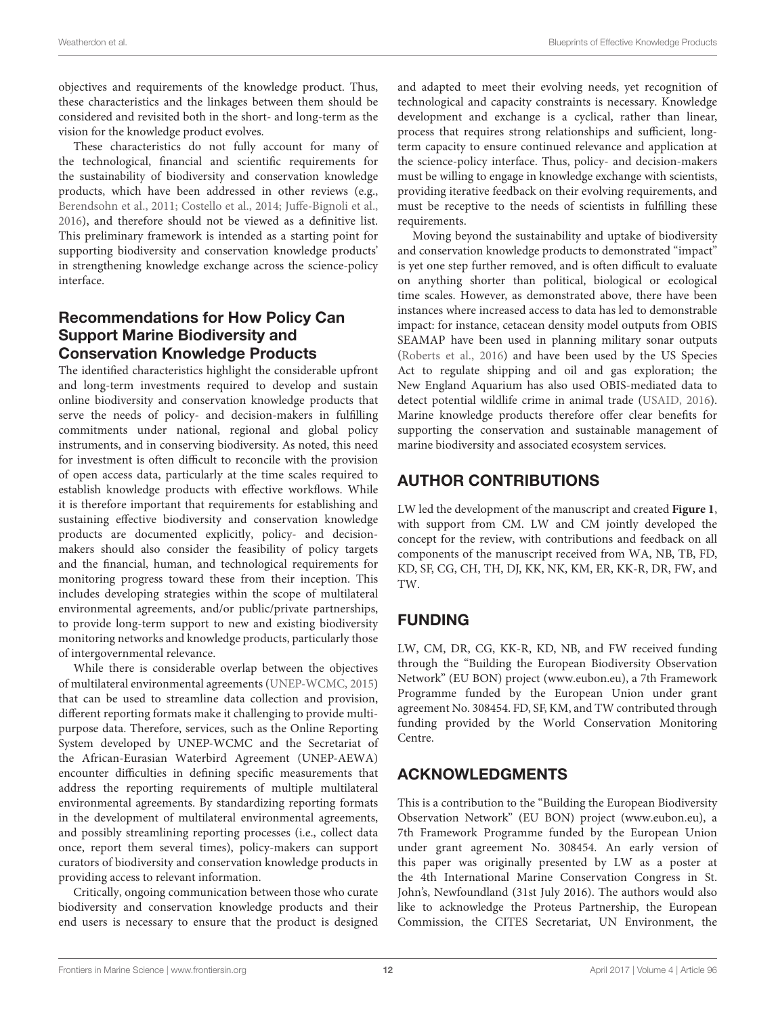objectives and requirements of the knowledge product. Thus, these characteristics and the linkages between them should be considered and revisited both in the short- and long-term as the vision for the knowledge product evolves.

These characteristics do not fully account for many of the technological, financial and scientific requirements for the sustainability of biodiversity and conservation knowledge products, which have been addressed in other reviews (e.g., [Berendsohn et al., 2011;](#page-12-15) [Costello et al., 2014;](#page-12-10) [Juffe-Bignoli et](#page-13-20) al., [2016\)](#page-13-20), and therefore should not be viewed as a definitive list. This preliminary framework is intended as a starting point for supporting biodiversity and conservation knowledge products' in strengthening knowledge exchange across the science-policy interface.

#### Recommendations for How Policy Can Support Marine Biodiversity and Conservation Knowledge Products

The identified characteristics highlight the considerable upfront and long-term investments required to develop and sustain online biodiversity and conservation knowledge products that serve the needs of policy- and decision-makers in fulfilling commitments under national, regional and global policy instruments, and in conserving biodiversity. As noted, this need for investment is often difficult to reconcile with the provision of open access data, particularly at the time scales required to establish knowledge products with effective workflows. While it is therefore important that requirements for establishing and sustaining effective biodiversity and conservation knowledge products are documented explicitly, policy- and decisionmakers should also consider the feasibility of policy targets and the financial, human, and technological requirements for monitoring progress toward these from their inception. This includes developing strategies within the scope of multilateral environmental agreements, and/or public/private partnerships, to provide long-term support to new and existing biodiversity monitoring networks and knowledge products, particularly those of intergovernmental relevance.

While there is considerable overlap between the objectives of multilateral environmental agreements [\(UNEP-WCMC, 2015\)](#page-14-38) that can be used to streamline data collection and provision, different reporting formats make it challenging to provide multipurpose data. Therefore, services, such as the Online Reporting System developed by UNEP-WCMC and the Secretariat of the African-Eurasian Waterbird Agreement (UNEP-AEWA) encounter difficulties in defining specific measurements that address the reporting requirements of multiple multilateral environmental agreements. By standardizing reporting formats in the development of multilateral environmental agreements, and possibly streamlining reporting processes (i.e., collect data once, report them several times), policy-makers can support curators of biodiversity and conservation knowledge products in providing access to relevant information.

Critically, ongoing communication between those who curate biodiversity and conservation knowledge products and their end users is necessary to ensure that the product is designed and adapted to meet their evolving needs, yet recognition of technological and capacity constraints is necessary. Knowledge development and exchange is a cyclical, rather than linear, process that requires strong relationships and sufficient, longterm capacity to ensure continued relevance and application at the science-policy interface. Thus, policy- and decision-makers must be willing to engage in knowledge exchange with scientists, providing iterative feedback on their evolving requirements, and must be receptive to the needs of scientists in fulfilling these requirements.

Moving beyond the sustainability and uptake of biodiversity and conservation knowledge products to demonstrated "impact" is yet one step further removed, and is often difficult to evaluate on anything shorter than political, biological or ecological time scales. However, as demonstrated above, there have been instances where increased access to data has led to demonstrable impact: for instance, cetacean density model outputs from OBIS SEAMAP have been used in planning military sonar outputs [\(Roberts et al., 2016\)](#page-14-39) and have been used by the US Species Act to regulate shipping and oil and gas exploration; the New England Aquarium has also used OBIS-mediated data to detect potential wildlife crime in animal trade [\(USAID, 2016\)](#page-14-40). Marine knowledge products therefore offer clear benefits for supporting the conservation and sustainable management of marine biodiversity and associated ecosystem services.

# AUTHOR CONTRIBUTIONS

LW led the development of the manuscript and created **[Figure 1](#page-6-0)**, with support from CM. LW and CM jointly developed the concept for the review, with contributions and feedback on all components of the manuscript received from WA, NB, TB, FD, KD, SF, CG, CH, TH, DJ, KK, NK, KM, ER, KK-R, DR, FW, and TW.

## FUNDING

LW, CM, DR, CG, KK-R, KD, NB, and FW received funding through the "Building the European Biodiversity Observation Network" (EU BON) project [\(www.eubon.eu\)](www.eubon.eu), a 7th Framework Programme funded by the European Union under grant agreement No. 308454. FD, SF, KM, and TW contributed through funding provided by the World Conservation Monitoring Centre.

## ACKNOWLEDGMENTS

This is a contribution to the "Building the European Biodiversity Observation Network" (EU BON) project [\(www.eubon.eu\)](www.eubon.eu), a 7th Framework Programme funded by the European Union under grant agreement No. 308454. An early version of this paper was originally presented by LW as a poster at the 4th International Marine Conservation Congress in St. John's, Newfoundland (31st July 2016). The authors would also like to acknowledge the Proteus Partnership, the European Commission, the CITES Secretariat, UN Environment, the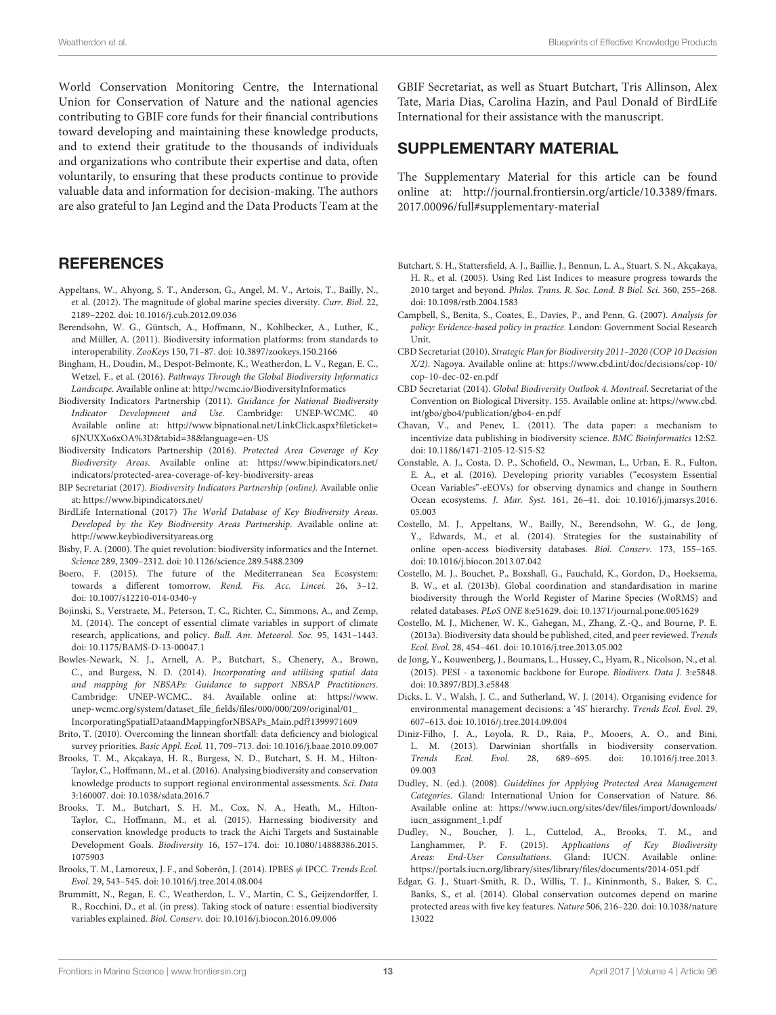World Conservation Monitoring Centre, the International Union for Conservation of Nature and the national agencies contributing to GBIF core funds for their financial contributions toward developing and maintaining these knowledge products, and to extend their gratitude to the thousands of individuals and organizations who contribute their expertise and data, often voluntarily, to ensuring that these products continue to provide valuable data and information for decision-making. The authors are also grateful to Jan Legind and the Data Products Team at the

#### **REFERENCES**

- <span id="page-12-27"></span>Appeltans, W., Ahyong, S. T., Anderson, G., Angel, M. V., Artois, T., Bailly, N., et al. (2012). The magnitude of global marine species diversity. Curr. Biol. 22, 2189–2202. doi: [10.1016/j.cub.2012.09.036](https://doi.org/10.1016/j.cub.2012.09.036)
- <span id="page-12-15"></span>Berendsohn, W. G., Güntsch, A., Hoffmann, N., Kohlbecker, A., Luther, K., and Müller, A. (2011). Biodiversity information platforms: from standards to interoperability. ZooKeys 150, 71–87. doi: [10.3897/zookeys.150.2166](https://doi.org/10.3897/zookeys.150.2166)
- <span id="page-12-0"></span>Bingham, H., Doudin, M., Despot-Belmonte, K., Weatherdon, L. V., Regan, E. C., Wetzel, F., et al. (2016). Pathways Through the Global Biodiversity Informatics Landscape. Available online at:<http://wcmc.io/BiodiversityInformatics>
- <span id="page-12-19"></span>Biodiversity Indicators Partnership (2011). Guidance for National Biodiversity Indicator Development and Use. Cambridge: UNEP-WCMC. 40 Available online at: [http://www.bipnational.net/LinkClick.aspx?fileticket=](http://www.bipnational.net/LinkClick.aspx?fileticket=6JNUXXo6xOA%3D&tabid=38&language=en-US) [6JNUXXo6xOA%3D&tabid=38&language=en-US](http://www.bipnational.net/LinkClick.aspx?fileticket=6JNUXXo6xOA%3D&tabid=38&language=en-US)
- <span id="page-12-22"></span>Biodiversity Indicators Partnership (2016). Protected Area Coverage of Key Biodiversity Areas. Available online at: [https://www.bipindicators.net/](https://www.bipindicators.net/indicators/protected-area-coverage-of-key-biodiversity-areas) [indicators/protected-area-coverage-of-key-biodiversity-areas](https://www.bipindicators.net/indicators/protected-area-coverage-of-key-biodiversity-areas)
- <span id="page-12-20"></span>BIP Secretariat (2017). Biodiversity Indicators Partnership (online). Available onlie at:<https://www.bipindicators.net/>
- <span id="page-12-13"></span>BirdLife International (2017) The World Database of Key Biodiversity Areas. Developed by the Key Biodiversity Areas Partnership. Available online at: <http://www.keybiodiversityareas.org>
- <span id="page-12-16"></span>Bisby, F. A. (2000). The quiet revolution: biodiversity informatics and the Internet. Science 289, 2309–2312. doi: [10.1126/science.289.5488.2309](https://doi.org/10.1126/science.289.5488.2309)
- <span id="page-12-4"></span>Boero, F. (2015). The future of the Mediterranean Sea Ecosystem: towards a different tomorrow. Rend. Fis. Acc. Lincei. 26, 3–12. doi: [10.1007/s12210-014-0340-y](https://doi.org/10.1007/s12210-014-0340-y)
- <span id="page-12-6"></span>Bojinski, S., Verstraete, M., Peterson, T. C., Richter, C., Simmons, A., and Zemp, M. (2014). The concept of essential climate variables in support of climate research, applications, and policy. Bull. Am. Meteorol. Soc. 95, 1431–1443. doi: [10.1175/BAMS-D-13-00047.1](https://doi.org/10.1175/BAMS-D-13-00047.1)
- <span id="page-12-5"></span>Bowles-Newark, N. J., Arnell, A. P., Butchart, S., Chenery, A., Brown, C., and Burgess, N. D. (2014). Incorporating and utilising spatial data and mapping for NBSAPs: Guidance to support NBSAP Practitioners. Cambridge: UNEP-WCMC.. 84. Available online at: [https://www.](https://www.unep-wcmc.org/system/dataset_file_fields/files/000/000/209/original/01_IncorporatingSpatialDataandMappingforNBSAPs_Main.pdf?1399971609) [unep-wcmc.org/system/dataset\\_file\\_fields/files/000/000/209/original/01\\_](https://www.unep-wcmc.org/system/dataset_file_fields/files/000/000/209/original/01_IncorporatingSpatialDataandMappingforNBSAPs_Main.pdf?1399971609) [IncorporatingSpatialDataandMappingforNBSAPs\\_Main.pdf?1399971609](https://www.unep-wcmc.org/system/dataset_file_fields/files/000/000/209/original/01_IncorporatingSpatialDataandMappingforNBSAPs_Main.pdf?1399971609)
- <span id="page-12-25"></span>Brito, T. (2010). Overcoming the linnean shortfall: data deficiency and biological survey priorities. Basic Appl. Ecol. 11, 709–713. doi: [10.1016/j.baae.2010.09.007](https://doi.org/10.1016/j.baae.2010.09.007)
- <span id="page-12-9"></span>Brooks, T. M., Akçakaya, H. R., Burgess, N. D., Butchart, S. H. M., Hilton-Taylor, C., Hoffmann, M., et al. (2016). Analysing biodiversity and conservation knowledge products to support regional environmental assessments. Sci. Data 3:160007. doi: [10.1038/sdata.2016.7](https://doi.org/10.1038/sdata.2016.7)
- <span id="page-12-11"></span>Brooks, T. M., Butchart, S. H. M., Cox, N. A., Heath, M., Hilton-Taylor, C., Hoffmann, M., et al. (2015). Harnessing biodiversity and conservation knowledge products to track the Aichi Targets and Sustainable Development Goals. Biodiversity [16, 157–174. doi: 10.1080/14888386.2015.](https://doi.org/10.1080/14888386.2015.1075903) 1075903
- <span id="page-12-1"></span>Brooks, T. M., Lamoreux, J. F., and Soberón, J. (2014). IPBES  $\neq$  IPCC. Trends Ecol. Evol. 29, 543–545. doi: [10.1016/j.tree.2014.08.004](https://doi.org/10.1016/j.tree.2014.08.004)
- <span id="page-12-7"></span>Brummitt, N., Regan, E. C., Weatherdon, L. V., Martin, C. S., Geijzendorffer, I. R., Rocchini, D., et al. (in press). Taking stock of nature : essential biodiversity variables explained. Biol. Conserv. doi: [10.1016/j.biocon.2016.09.006](https://doi.org/10.1016/j.biocon.2016.09.006)

GBIF Secretariat, as well as Stuart Butchart, Tris Allinson, Alex Tate, Maria Dias, Carolina Hazin, and Paul Donald of BirdLife International for their assistance with the manuscript.

#### SUPPLEMENTARY MATERIAL

The Supplementary Material for this article can be found [online at: http://journal.frontiersin.org/article/10.3389/fmars.](http://journal.frontiersin.org/article/10.3389/fmars.2017.00096/full#supplementary-material) 2017.00096/full#supplementary-material

- <span id="page-12-12"></span>Butchart, S. H., Stattersfield, A. J., Baillie, J., Bennun, L. A., Stuart, S. N., Akçakaya, H. R., et al. (2005). Using Red List Indices to measure progress towards the 2010 target and beyond. Philos. Trans. R. Soc. Lond. B Biol. Sci. 360, 255–268. doi: [10.1098/rstb.2004.1583](https://doi.org/10.1098/rstb.2004.1583)
- <span id="page-12-2"></span>Campbell, S., Benita, S., Coates, E., Davies, P., and Penn, G. (2007). Analysis for policy: Evidence-based policy in practice. London: Government Social Research Unit.
- <span id="page-12-3"></span>CBD Secretariat (2010). Strategic Plan for Biodiversity 2011–2020 (COP 10 Decision X/2). Nagoya. Available online at: [https://www.cbd.int/doc/decisions/cop-10/](https://www.cbd.int/doc/decisions/cop-10/cop-10-dec-02-en.pdf) [cop-10-dec-02-en.pdf](https://www.cbd.int/doc/decisions/cop-10/cop-10-dec-02-en.pdf)
- <span id="page-12-21"></span>CBD Secretariat (2014). Global Biodiversity Outlook 4. Montreal. Secretariat of the Convention on Biological Diversity. 155. Available online at: [https://www.cbd.](https://www.cbd.int/gbo/gbo4/publication/gbo4-en.pdf) [int/gbo/gbo4/publication/gbo4-en.pdf](https://www.cbd.int/gbo/gbo4/publication/gbo4-en.pdf)
- <span id="page-12-28"></span>Chavan, V., and Penev, L. (2011). The data paper: a mechanism to incentivize data publishing in biodiversity science. BMC Bioinformatics 12:S2. doi: [10.1186/1471-2105-12-S15-S2](https://doi.org/10.1186/1471-2105-12-S15-S2)
- <span id="page-12-8"></span>Constable, A. J., Costa, D. P., Schofield, O., Newman, L., Urban, E. R., Fulton, E. A., et al. (2016). Developing priority variables ("ecosystem Essential Ocean Variables"-eEOVs) for observing dynamics and change in Southern Ocean ecosystems. J. Mar. Syst. [161, 26–41. doi: 10.1016/j.jmarsys.2016.](https://doi.org/10.1016/j.jmarsys.2016.05.003) 05.003
- <span id="page-12-10"></span>Costello, M. J., Appeltans, W., Bailly, N., Berendsohn, W. G., de Jong, Y., Edwards, M., et al. (2014). Strategies for the sustainability of online open-access biodiversity databases. Biol. Conserv. 173, 155–165. doi: [10.1016/j.biocon.2013.07.042](https://doi.org/10.1016/j.biocon.2013.07.042)
- <span id="page-12-30"></span>Costello, M. J., Bouchet, P., Boxshall, G., Fauchald, K., Gordon, D., Hoeksema, B. W., et al. (2013b). Global coordination and standardisation in marine biodiversity through the World Register of Marine Species (WoRMS) and related databases. PLoS ONE 8:e51629. doi: [10.1371/journal.pone.0051629](https://doi.org/10.1371/journal.pone.0051629)
- <span id="page-12-17"></span>Costello, M. J., Michener, W. K., Gahegan, M., Zhang, Z.-Q., and Bourne, P. E. (2013a). Biodiversity data should be published, cited, and peer reviewed. Trends Ecol. Evol. 28, 454–461. doi: [10.1016/j.tree.2013.05.002](https://doi.org/10.1016/j.tree.2013.05.002)
- <span id="page-12-29"></span>de Jong, Y., Kouwenberg, J., Boumans, L., Hussey, C., Hyam, R., Nicolson, N., et al. (2015). PESI - a taxonomic backbone for Europe. Biodivers. Data J. 3:e5848. doi: [10.3897/BDJ.3.e5848](https://doi.org/10.3897/BDJ.3.e5848)
- <span id="page-12-18"></span>Dicks, L. V., Walsh, J. C., and Sutherland, W. J. (2014). Organising evidence for environmental management decisions: a '4S' hierarchy. Trends Ecol. Evol. 29, 607–613. doi: [10.1016/j.tree.2014.09.004](https://doi.org/10.1016/j.tree.2014.09.004)
- <span id="page-12-26"></span>Diniz-Filho, J. A., Loyola, R. D., Raia, P., Mooers, A. O., and Bini, L. M. (2013). Darwinian shortfalls in biodiversity conservation. Trends Ecol. Evol. [28, 689–695. doi: 10.1016/j.tree.2013.](https://doi.org/10.1016/j.tree.2013.09.003) 09.003
- <span id="page-12-14"></span>Dudley, N. (ed.). (2008). Guidelines for Applying Protected Area Management Categories. Gland: International Union for Conservation of Nature. 86. Available online at: [https://www.iucn.org/sites/dev/files/import/downloads/](https://www.iucn.org/sites/dev/files/import/downloads/iucn_assignment_1.pdf) [iucn\\_assignment\\_1.pdf](https://www.iucn.org/sites/dev/files/import/downloads/iucn_assignment_1.pdf)
- <span id="page-12-24"></span>Dudley, N., Boucher, J. L., Cuttelod, A., Brooks, T. M., and Langhammer, P. F. (2015). Applications of Key Biodiversity Areas: End-User Consultations. Gland: IUCN. Available online: <https://portals.iucn.org/library/sites/library/files/documents/2014-051.pdf>
- <span id="page-12-23"></span>Edgar, G. J., Stuart-Smith, R. D., Willis, T. J., Kininmonth, S., Baker, S. C., Banks, S., et al. (2014). Global conservation outcomes depend on marine [protected areas with five key features.](https://doi.org/10.1038/nature13022) Nature 506, 216–220. doi: 10.1038/nature 13022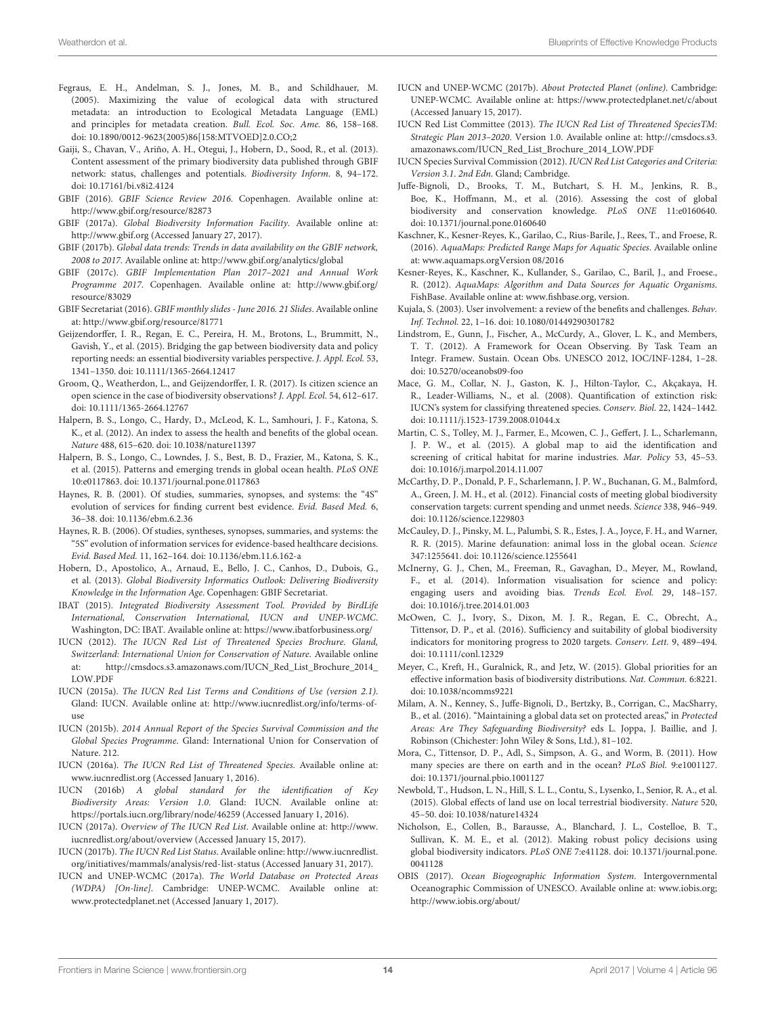- <span id="page-13-32"></span>Fegraus, E. H., Andelman, S. J., Jones, M. B., and Schildhauer, M. (2005). Maximizing the value of ecological data with structured metadata: an introduction to Ecological Metadata Language (EML) and principles for metadata creation. Bull. Ecol. Soc. Ame. 86, 158–168. doi: [10.1890/0012-9623\(2005\)86\[158:MTVOED\]2.0.CO;2](https://doi.org/10.1890/0012-9623(2005)86[158:MTVOED]2.0.CO;2)
- <span id="page-13-28"></span>Gaiji, S., Chavan, V., Ariño, A. H., Otegui, J., Hobern, D., Sood, R., et al. (2013). Content assessment of the primary biodiversity data published through GBIF network: status, challenges and potentials. Biodiversity Inform. 8, 94–172. doi: [10.17161/bi.v8i2.4124](https://doi.org/10.17161/bi.v8i2.4124)
- <span id="page-13-41"></span>GBIF (2016). GBIF Science Review 2016. Copenhagen. Available online at: <http://www.gbif.org/resource/82873>
- <span id="page-13-9"></span>GBIF (2017a). Global Biodiversity Information Facility. Available online at: <http://www.gbif.org> (Accessed January 27, 2017).
- <span id="page-13-30"></span>GBIF (2017b). Global data trends: Trends in data availability on the GBIF network, 2008 to 2017. Available online at:<http://www.gbif.org/analytics/global>
- <span id="page-13-31"></span>GBIF (2017c). GBIF Implementation Plan 2017–2021 and Annual Work Programme 2017. Copenhagen. Available online at: [http://www.gbif.org/](http://www.gbif.org/resource/83029) [resource/83029](http://www.gbif.org/resource/83029)
- <span id="page-13-23"></span>GBIF Secretariat (2016). GBIF monthly slides - June 2016. 21 Slides. Available online at:<http://www.gbif.org/resource/81771>
- <span id="page-13-4"></span>Geijzendorffer, I. R., Regan, E. C., Pereira, H. M., Brotons, L., Brummitt, N., Gavish, Y., et al. (2015). Bridging the gap between biodiversity data and policy reporting needs: an essential biodiversity variables perspective. J. Appl. Ecol. 53, 1341–1350. doi: [10.1111/1365-2664.12417](https://doi.org/10.1111/1365-2664.12417)
- <span id="page-13-36"></span>Groom, Q., Weatherdon, L., and Geijzendorffer, I. R. (2017). Is citizen science an open science in the case of biodiversity observations? J. Appl. Ecol. 54, 612–617. doi: [10.1111/1365-2664.12767](https://doi.org/10.1111/1365-2664.12767)
- <span id="page-13-5"></span>Halpern, B. S., Longo, C., Hardy, D., McLeod, K. L., Samhouri, J. F., Katona, S. K., et al. (2012). An index to assess the health and benefits of the global ocean. Nature 488, 615–620. doi: [10.1038/nature11397](https://doi.org/10.1038/nature11397)
- <span id="page-13-6"></span>Halpern, B. S., Longo, C., Lowndes, J. S., Best, B. D., Frazier, M., Katona, S. K., et al. (2015). Patterns and emerging trends in global ocean health. PLoS ONE 10:e0117863. doi: [10.1371/journal.pone.0117863](https://doi.org/10.1371/journal.pone.0117863)
- <span id="page-13-37"></span>Haynes, R. B. (2001). Of studies, summaries, synopses, and systems: the "4S" evolution of services for finding current best evidence. Evid. Based Med. 6, 36–38. doi: [10.1136/ebm.6.2.36](https://doi.org/10.1136/ebm.6.2.36)
- <span id="page-13-38"></span>Haynes, R. B. (2006). Of studies, syntheses, synopses, summaries, and systems: the "5S" evolution of information services for evidence-based healthcare decisions. Evid. Based Med. 11, 162–164. doi: [10.1136/ebm.11.6.162-a](https://doi.org/10.1136/ebm.11.6.162-a)
- <span id="page-13-18"></span>Hobern, D., Apostolico, A., Arnaud, E., Bello, J. C., Canhos, D., Dubois, G., et al. (2013). Global Biodiversity Informatics Outlook: Delivering Biodiversity Knowledge in the Information Age. Copenhagen: GBIF Secretariat.
- <span id="page-13-40"></span>IBAT (2015). Integrated Biodiversity Assessment Tool. Provided by BirdLife International, Conservation International, IUCN and UNEP-WCMC. Washington, DC: IBAT. Available online at:<https://www.ibatforbusiness.org/>
- <span id="page-13-26"></span>IUCN (2012). The IUCN Red List of Threatened Species Brochure. Gland, Switzerland: International Union for Conservation of Nature. Available online at: [http://cmsdocs.s3.amazonaws.com/IUCN\\_Red\\_List\\_Brochure\\_2014\\_](http://cmsdocs.s3.amazonaws.com/IUCN_Red_List_Brochure_2014_LOW.PDF) [LOW.PDF](http://cmsdocs.s3.amazonaws.com/IUCN_Red_List_Brochure_2014_LOW.PDF)
- <span id="page-13-12"></span>IUCN (2015a). The IUCN Red List Terms and Conditions of Use (version 2.1). Gland: IUCN. Available online at: [http://www.iucnredlist.org/info/terms-of](http://www.iucnredlist.org/info/terms-of-use)[use](http://www.iucnredlist.org/info/terms-of-use)
- <span id="page-13-42"></span>IUCN (2015b). 2014 Annual Report of the Species Survival Commission and the Global Species Programme. Gland: International Union for Conservation of Nature. 212.
- <span id="page-13-13"></span>IUCN (2016a). The IUCN Red List of Threatened Species. Available online at: [www.iucnredlist.org](http://www.iucnredlist.org) (Accessed January 1, 2016).
- <span id="page-13-17"></span>IUCN (2016b) A global standard for the identification of Key Biodiversity Areas: Version 1.0. Gland: IUCN. Available online at: <https://portals.iucn.org/library/node/46259> (Accessed January 1, 2016).
- <span id="page-13-14"></span>IUCN (2017a). Overview of The IUCN Red List. Available online at: [http://www.](http://www.iucnredlist.org/about/overview) [iucnredlist.org/about/overview](http://www.iucnredlist.org/about/overview) (Accessed January 15, 2017).
- <span id="page-13-27"></span>IUCN (2017b). The IUCN Red List Status. Available online: [http://www.iucnredlist.](http://www.iucnredlist.org/initiatives/mammals/analysis/red-list-status) [org/initiatives/mammals/analysis/red-list-status](http://www.iucnredlist.org/initiatives/mammals/analysis/red-list-status) (Accessed January 31, 2017).
- <span id="page-13-16"></span>IUCN and UNEP-WCMC (2017a). The World Database on Protected Areas (WDPA) [On-line]. Cambridge: UNEP-WCMC. Available online at: [www.protectedplanet.net](http://www.protectedplanet.net) (Accessed January 1, 2017).
- <span id="page-13-35"></span>IUCN and UNEP-WCMC (2017b). About Protected Planet (online). Cambridge: UNEP-WCMC. Available online at:<https://www.protectedplanet.net/c/about> (Accessed January 15, 2017).
- <span id="page-13-34"></span>IUCN Red List Committee (2013). The IUCN Red List of Threatened SpeciesTM: Strategic Plan 2013–2020. Version 1.0. Available online at: [http://cmsdocs.s3.](http://cmsdocs.s3.amazonaws.com/IUCN_Red_List_Brochure_2014_LOW.PDF) [amazonaws.com/IUCN\\_Red\\_List\\_Brochure\\_2014\\_LOW.PDF](http://cmsdocs.s3.amazonaws.com/IUCN_Red_List_Brochure_2014_LOW.PDF)
- <span id="page-13-11"></span>IUCN Species Survival Commission (2012). IUCN Red List Categories and Criteria: Version 3.1. 2nd Edn. Gland; Cambridge.
- <span id="page-13-20"></span>Juffe-Bignoli, D., Brooks, T. M., Butchart, S. H. M., Jenkins, R. B., Boe, K., Hoffmann, M., et al. (2016). Assessing the cost of global biodiversity and conservation knowledge. PLoS ONE 11:e0160640. doi: [10.1371/journal.pone.0160640](https://doi.org/10.1371/journal.pone.0160640)
- <span id="page-13-8"></span>Kaschner, K., Kesner-Reyes, K., Garilao, C., Rius-Barile, J., Rees, T., and Froese, R. (2016). AquaMaps: Predicted Range Maps for Aquatic Species. Available online at: [www.aquamaps.orgVersion 08/2016](http://www.aquamaps.org)
- <span id="page-13-7"></span>Kesner-Reyes, K., Kaschner, K., Kullander, S., Garilao, C., Baril, J., and Froese., R. (2012). AquaMaps: Algorithm and Data Sources for Aquatic Organisms. FishBase. Available online at: [www.fishbase.org,](http://www.fishbase.org) version.
- <span id="page-13-22"></span>Kujala, S. (2003). User involvement: a review of the benefits and challenges. Behav. Inf. Technol. 22, 1–16. doi: [10.1080/01449290301782](https://doi.org/10.1080/01449290301782)
- <span id="page-13-3"></span>Lindstrom, E., Gunn, J., Fischer, A., McCurdy, A., Glover, L. K., and Members, T. T. (2012). A Framework for Ocean Observing. By Task Team an Integr. Framew. Sustain. Ocean Obs. UNESCO 2012, IOC/INF-1284, 1–28. doi: [10.5270/oceanobs09-foo](https://doi.org/10.5270/oceanobs09-foo)
- <span id="page-13-10"></span>Mace, G. M., Collar, N. J., Gaston, K. J., Hilton-Taylor, C., Akçakaya, H. R., Leader-Williams, N., et al. (2008). Quantification of extinction risk: IUCN's system for classifying threatened species. Conserv. Biol. 22, 1424–1442. doi: [10.1111/j.1523-1739.2008.01044.x](https://doi.org/10.1111/j.1523-1739.2008.01044.x)
- <span id="page-13-39"></span>Martin, C. S., Tolley, M. J., Farmer, E., Mcowen, C. J., Geffert, J. L., Scharlemann, J. P. W., et al. (2015). A global map to aid the identification and screening of critical habitat for marine industries. Mar. Policy 53, 45–53. doi: [10.1016/j.marpol.2014.11.007](https://doi.org/10.1016/j.marpol.2014.11.007)
- <span id="page-13-24"></span>McCarthy, D. P., Donald, P. F., Scharlemann, J. P. W., Buchanan, G. M., Balmford, A., Green, J. M. H., et al. (2012). Financial costs of meeting global biodiversity conservation targets: current spending and unmet needs. Science 338, 946–949. doi: [10.1126/science.1229803](https://doi.org/10.1126/science.1229803)
- <span id="page-13-0"></span>McCauley, D. J., Pinsky, M. L., Palumbi, S. R., Estes, J. A., Joyce, F. H., and Warner, R. R. (2015). Marine defaunation: animal loss in the global ocean. Science 347:1255641. doi: [10.1126/science.1255641](https://doi.org/10.1126/science.1255641)
- <span id="page-13-19"></span>McInerny, G. J., Chen, M., Freeman, R., Gavaghan, D., Meyer, M., Rowland, F., et al. (2014). Information visualisation for science and policy: engaging users and avoiding bias. Trends Ecol. Evol. 29, 148–157. doi: [10.1016/j.tree.2014.01.003](https://doi.org/10.1016/j.tree.2014.01.003)
- <span id="page-13-2"></span>McOwen, C. J., Ivory, S., Dixon, M. J. R., Regan, E. C., Obrecht, A., Tittensor, D. P., et al. (2016). Sufficiency and suitability of global biodiversity indicators for monitoring progress to 2020 targets. Conserv. Lett. 9, 489–494. doi: [10.1111/conl.12329](https://doi.org/10.1111/conl.12329)
- <span id="page-13-29"></span>Meyer, C., Kreft, H., Guralnick, R., and Jetz, W. (2015). Global priorities for an effective information basis of biodiversity distributions. Nat. Commun. 6:8221. doi: [10.1038/ncomms9221](https://doi.org/10.1038/ncomms9221)
- <span id="page-13-33"></span>Milam, A. N., Kenney, S., Juffe-Bignoli, D., Bertzky, B., Corrigan, C., MacSharry, B., et al. (2016). "Maintaining a global data set on protected areas," in Protected Areas: Are They Safeguarding Biodiversity? eds L. Joppa, J. Baillie, and J. Robinson (Chichester: John Wiley & Sons, Ltd.), 81–102.
- <span id="page-13-25"></span>Mora, C., Tittensor, D. P., Adl, S., Simpson, A. G., and Worm, B. (2011). How many species are there on earth and in the ocean? PLoS Biol. 9:e1001127. doi: [10.1371/journal.pbio.1001127](https://doi.org/10.1371/journal.pbio.1001127)
- <span id="page-13-1"></span>Newbold, T., Hudson, L. N., Hill, S. L. L., Contu, S., Lysenko, I., Senior, R. A., et al. (2015). Global effects of land use on local terrestrial biodiversity. Nature 520, 45–50. doi: [10.1038/nature14324](https://doi.org/10.1038/nature14324)
- <span id="page-13-21"></span>Nicholson, E., Collen, B., Barausse, A., Blanchard, J. L., Costelloe, B. T., Sullivan, K. M. E., et al. (2012). Making robust policy decisions using global biodiversity indicators. PLoS ONE [7:e41128. doi: 10.1371/journal.pone.](https://doi.org/10.1371/journal.pone.0041128) 0041128
- <span id="page-13-15"></span>OBIS (2017). Ocean Biogeographic Information System. Intergovernmental Oceanographic Commission of UNESCO. Available online at: [www.iobis.org;](http://www.iobis.org) <http://www.iobis.org/about/>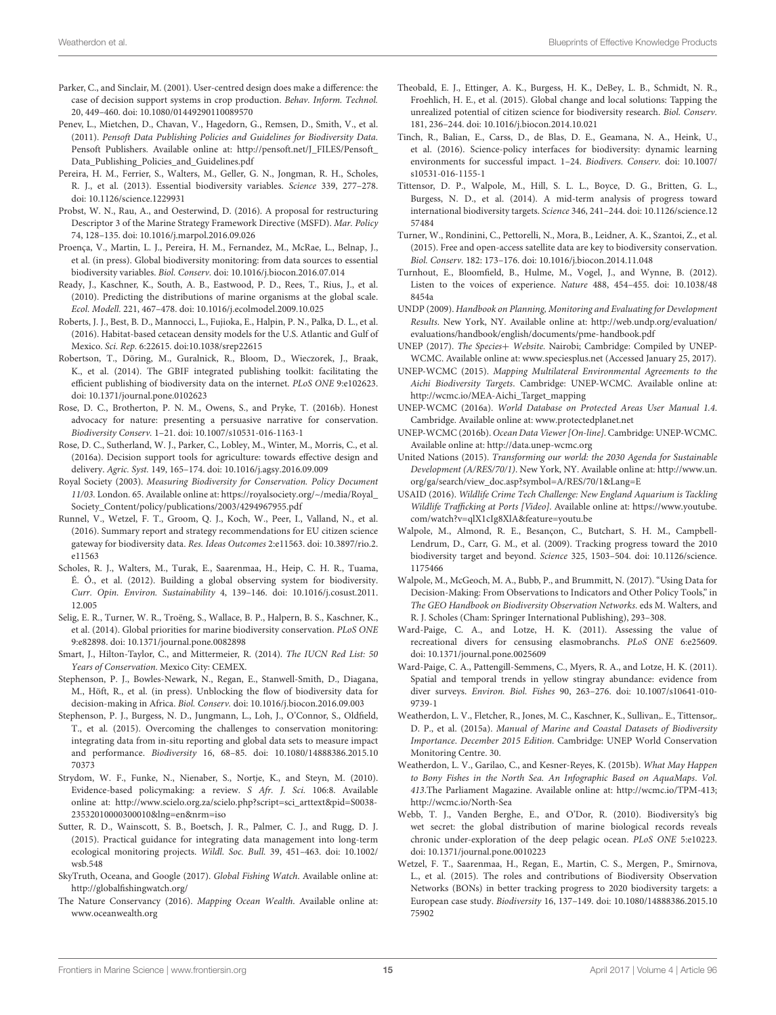- <span id="page-14-32"></span>Parker, C., and Sinclair, M. (2001). User-centred design does make a difference: the case of decision support systems in crop production. Behav. Inform. Technol. 20, 449–460. doi: [10.1080/01449290110089570](https://doi.org/10.1080/01449290110089570)
- <span id="page-14-34"></span>Penev, L., Mietchen, D., Chavan, V., Hagedorn, G., Remsen, D., Smith, V., et al. (2011). Pensoft Data Publishing Policies and Guidelines for Biodiversity Data. Pensoft Publishers. Available online at: [http://pensoft.net/J\\_FILES/Pensoft\\_](http://pensoft.net/J_FILES/Pensoft_Data_Publishing_Policies_and_Guidelines.pdf) [Data\\_Publishing\\_Policies\\_and\\_Guidelines.pdf](http://pensoft.net/J_FILES/Pensoft_Data_Publishing_Policies_and_Guidelines.pdf)
- <span id="page-14-6"></span>Pereira, H. M., Ferrier, S., Walters, M., Geller, G. N., Jongman, R. H., Scholes, R. J., et al. (2013). Essential biodiversity variables. Science 339, 277–278. doi: [10.1126/science.1229931](https://doi.org/10.1126/science.1229931)
- <span id="page-14-5"></span>Probst, W. N., Rau, A., and Oesterwind, D. (2016). A proposal for restructuring Descriptor 3 of the Marine Strategy Framework Directive (MSFD). Mar. Policy 74, 128–135. doi: [10.1016/j.marpol.2016.09.026](https://doi.org/10.1016/j.marpol.2016.09.026)
- <span id="page-14-24"></span>Proença, V., Martin, L. J., Pereira, H. M., Fernandez, M., McRae, L., Belnap, J., et al. (in press). Global biodiversity monitoring: from data sources to essential biodiversity variables. Biol. Conserv. doi: [10.1016/j.biocon.2016.07.014](https://doi.org/10.1016/j.biocon.2016.07.014)
- <span id="page-14-11"></span>Ready, J., Kaschner, K., South, A. B., Eastwood, P. D., Rees, T., Rius, J., et al. (2010). Predicting the distributions of marine organisms at the global scale. Ecol. Modell. 221, 467–478. doi: [10.1016/j.ecolmodel.2009.10.025](https://doi.org/10.1016/j.ecolmodel.2009.10.025)
- <span id="page-14-39"></span>Roberts, J. J., Best, B. D., Mannocci, L., Fujioka, E., Halpin, P. N., Palka, D. L., et al. (2016). Habitat-based cetacean density models for the U.S. Atlantic and Gulf of Mexico. Sci. Rep. 6:22615. doi:10.1038/srep22615
- <span id="page-14-35"></span>Robertson, T., Döring, M., Guralnick, R., Bloom, D., Wieczorek, J., Braak, K., et al. (2014). The GBIF integrated publishing toolkit: facilitating the efficient publishing of biodiversity data on the internet. PLoS ONE 9:e102623. doi: [10.1371/journal.pone.0102623](https://doi.org/10.1371/journal.pone.0102623)
- <span id="page-14-8"></span>Rose, D. C., Brotherton, P. N. M., Owens, S., and Pryke, T. (2016b). Honest advocacy for nature: presenting a persuasive narrative for conservation. Biodiversity Conserv. 1–21. doi: [10.1007/s10531-016-1163-1](https://doi.org/10.1007/s10531-016-1163-1)
- <span id="page-14-31"></span>Rose, D. C., Sutherland, W. J., Parker, C., Lobley, M., Winter, M., Morris, C., et al. (2016a). Decision support tools for agriculture: towards effective design and delivery. Agric. Syst. 149, 165–174. doi: [10.1016/j.agsy.2016.09.009](https://doi.org/10.1016/j.agsy.2016.09.009)
- <span id="page-14-18"></span>Royal Society (2003). Measuring Biodiversity for Conservation. Policy Document 11/03. London. 65. Available online at: [https://royalsociety.org/~/media/Royal\\_](https://royalsociety.org/~/media/Royal_Society_Content/policy/publications/2003/4294967955.pdf) [Society\\_Content/policy/publications/2003/4294967955.pdf](https://royalsociety.org/~/media/Royal_Society_Content/policy/publications/2003/4294967955.pdf)
- <span id="page-14-25"></span>Runnel, V., Wetzel, F. T., Groom, Q. J., Koch, W., Peer, I., Valland, N., et al. (2016). Summary report and strategy recommendations for EU citizen science [gateway for biodiversity data.](https://doi.org/10.3897/rio.2.e11563) Res. Ideas Outcomes 2:e11563. doi: 10.3897/rio.2. e11563
- <span id="page-14-20"></span>Scholes, R. J., Walters, M., Turak, E., Saarenmaa, H., Heip, C. H. R., Tuama, É. Ó., et al. (2012). Building a global observing system for biodiversity. Curr. Opin. Environ. Sustainability [4, 139–146. doi: 10.1016/j.cosust.2011.](https://doi.org/10.1016/j.cosust.2011.12.005) 12.005
- <span id="page-14-37"></span>Selig, E. R., Turner, W. R., Troëng, S., Wallace, B. P., Halpern, B. S., Kaschner, K., et al. (2014). Global priorities for marine biodiversity conservation. PLoS ONE 9:e82898. doi: [10.1371/journal.pone.0082898](https://doi.org/10.1371/journal.pone.0082898)
- <span id="page-14-12"></span>Smart, J., Hilton-Taylor, C., and Mittermeier, R. (2014). The IUCN Red List: 50 Years of Conservation. Mexico City: CEMEX.
- <span id="page-14-2"></span>Stephenson, P. J., Bowles-Newark, N., Regan, E., Stanwell-Smith, D., Diagana, M., Höft, R., et al. (in press). Unblocking the flow of biodiversity data for decision-making in Africa. Biol. Conserv. doi: [10.1016/j.biocon.2016.09.003](https://doi.org/10.1016/j.biocon.2016.09.003)
- <span id="page-14-21"></span>Stephenson, P. J., Burgess, N. D., Jungmann, L., Loh, J., O'Connor, S., Oldfield, T., et al. (2015). Overcoming the challenges to conservation monitoring: integrating data from in-situ reporting and global data sets to measure impact and performance. Biodiversity [16, 68–85. doi: 10.1080/14888386.2015.10](https://doi.org/10.1080/14888386.2015.1070373) 70373
- <span id="page-14-3"></span>Strydom, W. F., Funke, N., Nienaber, S., Nortje, K., and Steyn, M. (2010). Evidence-based policymaking: a review. S Afr. J. Sci. 106:8. Available online at: [http://www.scielo.org.za/scielo.php?script=sci\\_arttext&pid=S0038-](http://www.scielo.org.za/scielo.php?script=sci_arttext&pid=S0038-23532010000300010&lng=en&nrm=iso) [23532010000300010&lng=en&nrm=iso](http://www.scielo.org.za/scielo.php?script=sci_arttext&pid=S0038-23532010000300010&lng=en&nrm=iso)
- <span id="page-14-36"></span>Sutter, R. D., Wainscott, S. B., Boetsch, J. R., Palmer, C. J., and Rugg, D. J. (2015). Practical guidance for integrating data management into long-term [ecological monitoring projects.](https://doi.org/10.1002/wsb.548) Wildl. Soc. Bull. 39, 451–463. doi: 10.1002/ wsb.548
- <span id="page-14-17"></span>SkyTruth, Oceana, and Google (2017). Global Fishing Watch. Available online at: <http://globalfishingwatch.org/>
- <span id="page-14-16"></span>The Nature Conservancy (2016). Mapping Ocean Wealth. Available online at: [www.oceanwealth.org](http://www.oceanwealth.org)
- <span id="page-14-28"></span>Theobald, E. J., Ettinger, A. K., Burgess, H. K., DeBey, L. B., Schmidt, N. R., Froehlich, H. E., et al. (2015). Global change and local solutions: Tapping the unrealized potential of citizen science for biodiversity research. Biol. Conserv. 181, 236–244. doi: [10.1016/j.biocon.2014.10.021](https://doi.org/10.1016/j.biocon.2014.10.021)
- <span id="page-14-30"></span>Tinch, R., Balian, E., Carss, D., de Blas, D. E., Geamana, N. A., Heink, U., et al. (2016). Science-policy interfaces for biodiversity: dynamic learning [environments for successful impact. 1–24.](https://doi.org/10.1007/s10531-016-1155-1) Biodivers. Conserv. doi: 10.1007/ s10531-016-1155-1
- <span id="page-14-1"></span>Tittensor, D. P., Walpole, M., Hill, S. L. L., Boyce, D. G., Britten, G. L., Burgess, N. D., et al. (2014). A mid-term analysis of progress toward international biodiversity targets. Science [346, 241–244. doi: 10.1126/science.12](https://doi.org/10.1126/science.1257484) 57484
- <span id="page-14-22"></span>Turner, W., Rondinini, C., Pettorelli, N., Mora, B., Leidner, A. K., Szantoi, Z., et al. (2015). Free and open-access satellite data are key to biodiversity conservation. Biol. Conserv. 182: 173–176. doi: [10.1016/j.biocon.2014.11.048](https://doi.org/10.1016/j.biocon.2014.11.048)
- <span id="page-14-19"></span>Turnhout, E., Bloomfield, B., Hulme, M., Vogel, J., and Wynne, B. (2012). [Listen to the voices of experience.](https://doi.org/10.1038/488454a) Nature 488, 454–455. doi: 10.1038/48 8454a
- <span id="page-14-9"></span>UNDP (2009). Handbook on Planning, Monitoring and Evaluating for Development Results. New York, NY. Available online at: [http://web.undp.org/evaluation/](http://web.undp.org/evaluation/evaluations/handbook/english/documents/pme-handbook.pdf) [evaluations/handbook/english/documents/pme-handbook.pdf](http://web.undp.org/evaluation/evaluations/handbook/english/documents/pme-handbook.pdf)
- <span id="page-14-15"></span>UNEP (2017). The Species+ Website. Nairobi; Cambridge: Compiled by UNEP-WCMC. Available online at: [www.speciesplus.net](http://www.speciesplus.net) (Accessed January 25, 2017).
- <span id="page-14-38"></span>UNEP-WCMC (2015). Mapping Multilateral Environmental Agreements to the Aichi Biodiversity Targets. Cambridge: UNEP-WCMC. Available online at: [http://wcmc.io/MEA-Aichi\\_Target\\_mapping](http://wcmc.io/MEA-Aichi_Target_mapping)
- <span id="page-14-14"></span>UNEP-WCMC (2016a). World Database on Protected Areas User Manual 1.4. Cambridge. Available online at: [www.protectedplanet.net](http://www.protectedplanet.net)
- <span id="page-14-13"></span>UNEP-WCMC (2016b). Ocean Data Viewer [On-line]. Cambridge: UNEP-WCMC. Available online at:<http://data.unep-wcmc.org>
- <span id="page-14-4"></span>United Nations (2015). Transforming our world: the 2030 Agenda for Sustainable Development (A/RES/70/1). New York, NY. Available online at: [http://www.un.](http://www.un.org/ga/search/view_doc.asp?symbol=A/RES/70/1&Lang=E) [org/ga/search/view\\_doc.asp?symbol=A/RES/70/1&Lang=E](http://www.un.org/ga/search/view_doc.asp?symbol=A/RES/70/1&Lang=E)
- <span id="page-14-40"></span>USAID (2016). Wildlife Crime Tech Challenge: New England Aquarium is Tackling Wildlife Trafficking at Ports [Video]. Available online at: [https://www.youtube.](https://www.youtube.com/watch?v=qlX1cIg8XlA&feature=youtu.be) [com/watch?v=qlX1cIg8XlA&feature=youtu.be](https://www.youtube.com/watch?v=qlX1cIg8XlA&feature=youtu.be)
- <span id="page-14-0"></span>Walpole, M., Almond, R. E., Besançon, C., Butchart, S. H. M., Campbell-Lendrum, D., Carr, G. M., et al. (2009). Tracking progress toward the 2010 biodiversity target and beyond. Science [325, 1503–504. doi: 10.1126/science.](https://doi.org/10.1126/science.1175466) 1175466
- <span id="page-14-23"></span>Walpole, M., McGeoch, M. A., Bubb, P., and Brummitt, N. (2017). "Using Data for Decision-Making: From Observations to Indicators and Other Policy Tools," in The GEO Handbook on Biodiversity Observation Networks. eds M. Walters, and R. J. Scholes (Cham: Springer International Publishing), 293–308.
- <span id="page-14-26"></span>Ward-Paige, C. A., and Lotze, H. K. (2011). Assessing the value of recreational divers for censusing elasmobranchs. PLoS ONE 6:e25609. doi: [10.1371/journal.pone.0025609](https://doi.org/10.1371/journal.pone.0025609)
- <span id="page-14-27"></span>Ward-Paige, C. A., Pattengill-Semmens, C., Myers, R. A., and Lotze, H. K. (2011). Spatial and temporal trends in yellow stingray abundance: evidence from diver surveys. Environ. Biol. Fishes [90, 263–276. doi: 10.1007/s10641-010-](https://doi.org/10.1007/s10641-010-9739-1) 9739-1
- <span id="page-14-10"></span>Weatherdon, L. V., Fletcher, R., Jones, M. C., Kaschner, K., Sullivan,. E., Tittensor,. D. P., et al. (2015a). Manual of Marine and Coastal Datasets of Biodiversity Importance. December 2015 Edition. Cambridge: UNEP World Conservation Monitoring Centre. 30.
- <span id="page-14-29"></span>Weatherdon, L. V., Garilao, C., and Kesner-Reyes, K. (2015b). What May Happen to Bony Fishes in the North Sea. An Infographic Based on AquaMaps. Vol. 413.The Parliament Magazine. Available online at: [http://wcmc.io/TPM-413;](http://wcmc.io/TPM-413) <http://wcmc.io/North-Sea>
- <span id="page-14-33"></span>Webb, T. J., Vanden Berghe, E., and O'Dor, R. (2010). Biodiversity's big wet secret: the global distribution of marine biological records reveals chronic under-exploration of the deep pelagic ocean. PLoS ONE 5:e10223. doi: [10.1371/journal.pone.0010223](https://doi.org/10.1371/journal.pone.0010223)
- <span id="page-14-7"></span>Wetzel, F. T., Saarenmaa, H., Regan, E., Martin, C. S., Mergen, P., Smirnova, L., et al. (2015). The roles and contributions of Biodiversity Observation Networks (BONs) in better tracking progress to 2020 biodiversity targets: a European case study. Biodiversity [16, 137–149. doi: 10.1080/14888386.2015.10](https://doi.org/10.1080/14888386.2015.1075902) 75902